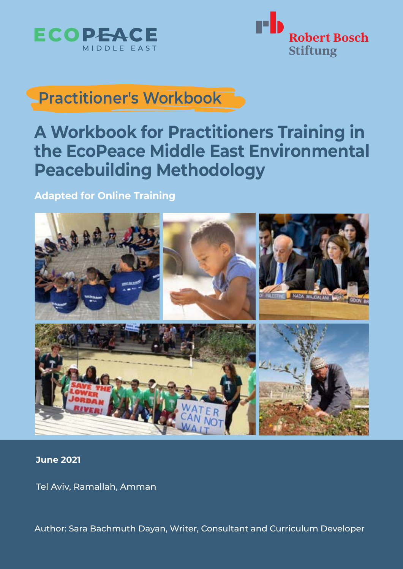



## **Practitioner's Workbook**

## **A Workbook for Practitioners Training in the EcoPeace Middle East Environmental Peacebuilding Methodology**

## **Adapted for Online Training**



### **June 2021**

Tel Aviv, Ramallah, Amman

Author: Sara Bachmuth Dayan, Writer, Consultant and Curriculum Developer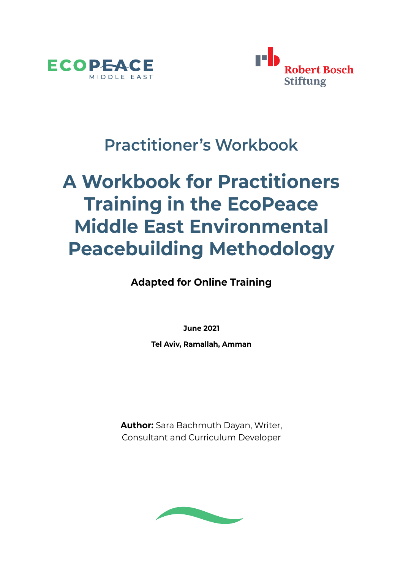



## **Practitioner's Workbook**

# **A Workbook for Practitioners Training in the EcoPeace Middle East Environmental Peacebuilding Methodology**

**Adapted for Online Training**

**June 2021**

**Tel Aviv, Ramallah, Amman**

**Author:** Sara Bachmuth Dayan, Writer, Consultant and Curriculum Developer

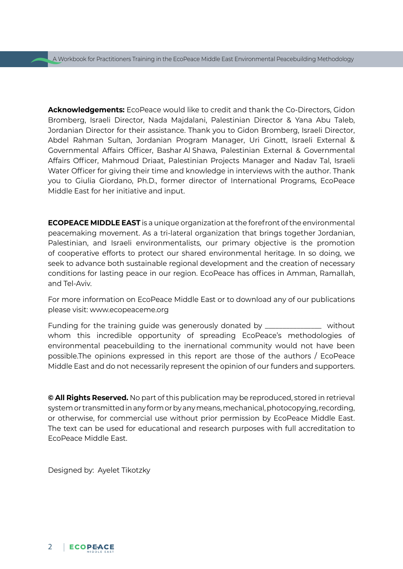**Acknowledgements:** EcoPeace would like to credit and thank the Co-Directors, Gidon Bromberg, Israeli Director, Nada Majdalani, Palestinian Director & Yana Abu Taleb, Jordanian Director for their assistance. Thank you to Gidon Bromberg, Israeli Director, Abdel Rahman Sultan, Jordanian Program Manager, Uri Ginott, Israeli External & Governmental Affairs Officer, Bashar Al Shawa, Palestinian External & Governmental Affairs Officer, Mahmoud Driaat, Palestinian Projects Manager and Nadav Tal, Israeli Water Officer for giving their time and knowledge in interviews with the author. Thank you to Giulia Giordano, Ph.D., former director of International Programs, EcoPeace Middle East for her initiative and input.

**ECOPEACE MIDDLE EAST** is a unique organization at the forefront of the environmental peacemaking movement. As a tri-lateral organization that brings together Jordanian, Palestinian, and Israeli environmentalists, our primary objective is the promotion of cooperative efforts to protect our shared environmental heritage. In so doing, we seek to advance both sustainable regional development and the creation of necessary conditions for lasting peace in our region. EcoPeace has offices in Amman, Ramallah, and Tel-Aviv.

For more information on EcoPeace Middle East or to download any of our publications please visit: [www.ecopeaceme.org](http://www.ecopeaceme.org)

Funding for the training guide was generously donated by \_\_\_\_\_\_\_\_\_\_\_\_\_\_\_\_ without whom this incredible opportunity of spreading EcoPeace's methodologies of environmental peacebuilding to the inernational community would not have been possible.The opinions expressed in this report are those of the authors / EcoPeace Middle East and do not necessarily represent the opinion of our funders and supporters.

**© All Rights Reserved.** No part of this publication may be reproduced, stored in retrieval system or transmitted in any form or by any means, mechanical, photocopying, recording, or otherwise, for commercial use without prior permission by EcoPeace Middle East. The text can be used for educational and research purposes with full accreditation to EcoPeace Middle East.

Designed by: Ayelet Tikotzky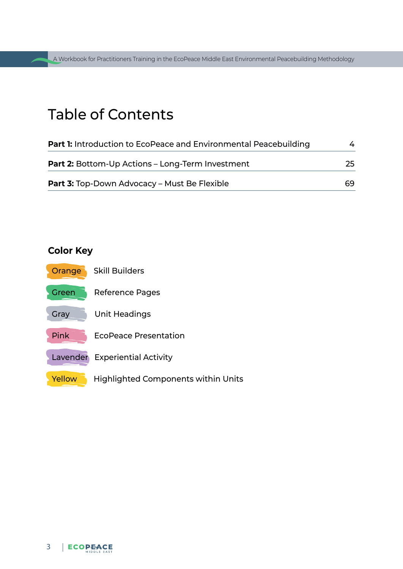A Workbook for Practitioners Training in the EcoPeace Middle East Environmental Peacebuilding Methodology

## Table of Contents

| <b>Part 1:</b> Introduction to EcoPeace and Environmental Peacebuilding | 4   |
|-------------------------------------------------------------------------|-----|
| <b>Part 2: Bottom-Up Actions – Long-Term Investment</b>                 | 25. |
| <b>Part 3: Top-Down Advocacy - Must Be Flexible</b>                     | 69. |

## **Color Key**

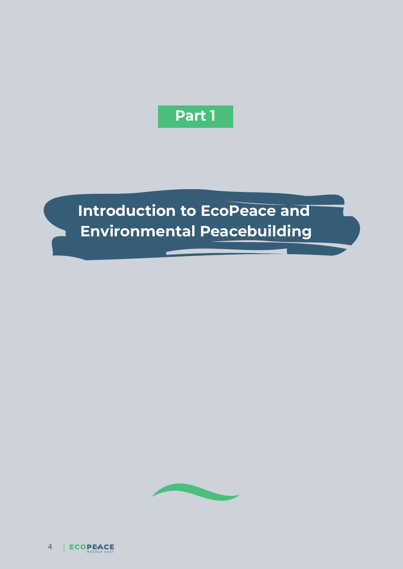## **Part 1**

# **Introduction to EcoPeace and Environmental Peacebuilding**



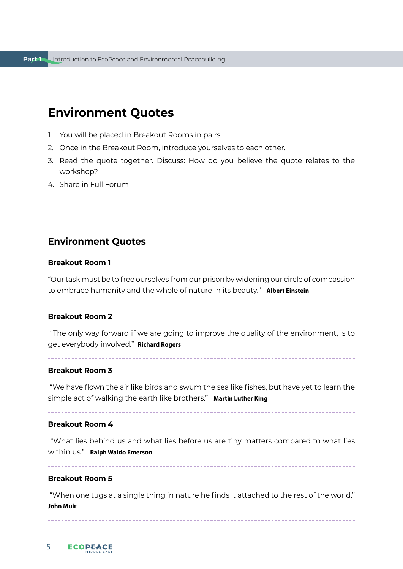## **Environment Quotes**

- 1. You will be placed in Breakout Rooms in pairs.
- 2. Once in the Breakout Room, introduce yourselves to each other.
- 3. Read the quote together. Discuss: How do you believe the quote relates to the workshop?
- 4. Share in Full Forum

### **Environment Quotes**

#### **Breakout Room 1**

"Our task must be to free ourselves from our prison by widening our circle of compassion to embrace humanity and the whole of nature in its beauty." **Albert Einstein**

#### **Breakout Room 2**

 "The only way forward if we are going to improve the quality of the environment, is to get everybody involved." **Richard Rogers**

#### **Breakout Room 3**

 "We have flown the air like birds and swum the sea like fishes, but have yet to learn the simple act of walking the earth like brothers." **Martin Luther King**

#### **Breakout Room 4**

 "What lies behind us and what lies before us are tiny matters compared to what lies within us." **Ralph Waldo Emerson**

#### **Breakout Room 5**

 "When one tugs at a single thing in nature he finds it attached to the rest of the world." **John Muir**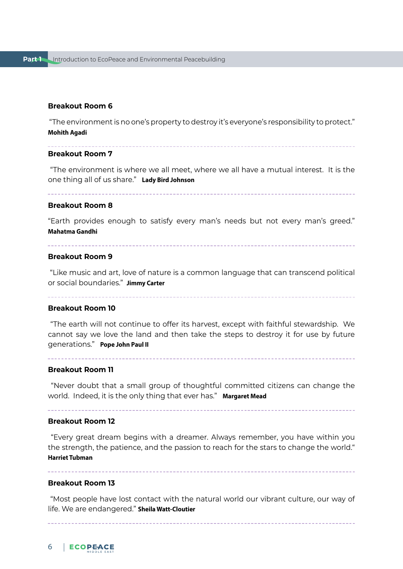#### **Breakout Room 6**

 "The environment is no one's property to destroy it's everyone's responsibility to protect." **Mohith Agadi**

#### **Breakout Room 7**

 "The environment is where we all meet, where we all have a mutual interest. It is the one thing all of us share." **Lady Bird Johnson**

#### **Breakout Room 8**

"Earth provides enough to satisfy every man's needs but not every man's greed." **Mahatma Gandhi**

#### **Breakout Room 9**

 "Like music and art, love of nature is a common language that can transcend political or social boundaries." **Jimmy Carter**

#### **Breakout Room 10**

 "The earth will not continue to offer its harvest, except with faithful stewardship. We cannot say we love the land and then take the steps to destroy it for use by future generations." **Pope John Paul II**

#### **Breakout Room 11**

 "Never doubt that a small group of thoughtful committed citizens can change the world. Indeed, it is the only thing that ever has." **Margaret Mead**

#### **Breakout Room 12**

 "Every great dream begins with a dreamer. Always remember, you have within you the strength, the patience, and the passion to reach for the stars to change the world." **Harriet Tubman**

#### **Breakout Room 13**

 "Most people have lost contact with the natural world our vibrant culture, our way of life. We are endangered." **Sheila Watt-Cloutier**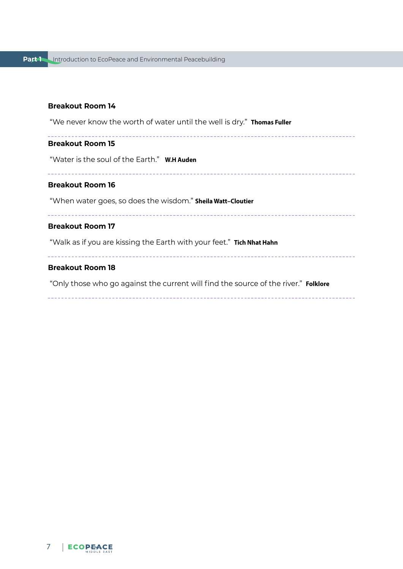#### **Breakout Room 14**

 "We never know the worth of water until the well is dry." **Thomas Fuller Breakout Room 15** "Water is the soul of the Earth." **W.H Auden** ---------------------**Breakout Room 16** "When water goes, so does the wisdom." **Sheila Watt–Cloutier** -----------------**Breakout Room 17** "Walk as if you are kissing the Earth with your feet." **Tich Nhat Hahn Breakout Room 18** "Only those who go against the current will find the source of the river." **Folklore**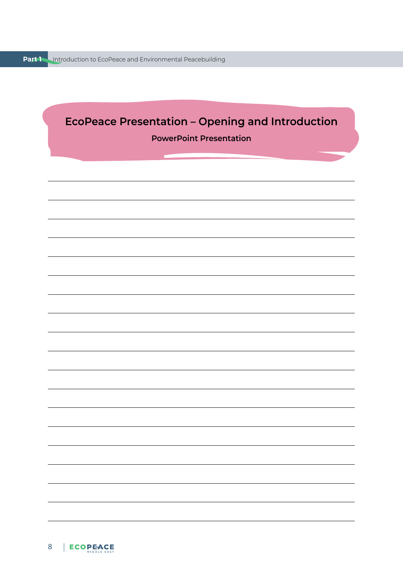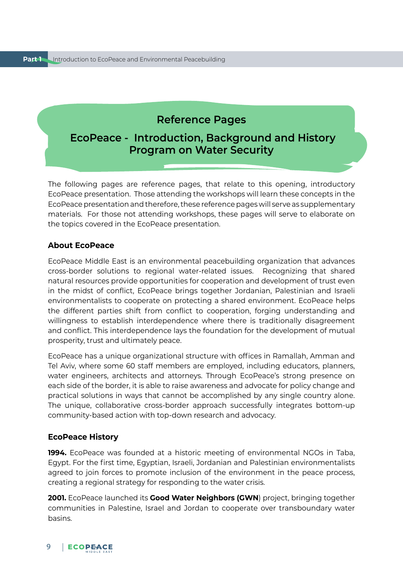## **Reference Pages**

## **EcoPeace - Introduction, Background and History Program on Water Security**

The following pages are reference pages, that relate to this opening, introductory EcoPeace presentation. Those attending the workshops will learn these concepts in the EcoPeace presentation and therefore, these reference pages will serve as supplementary materials. For those not attending workshops, these pages will serve to elaborate on the topics covered in the EcoPeace presentation.

#### **About EcoPeace**

EcoPeace Middle East is an environmental peacebuilding organization that advances cross-border solutions to regional water-related issues. Recognizing that shared natural resources provide opportunities for cooperation and development of trust even in the midst of conflict, EcoPeace brings together Jordanian, Palestinian and Israeli environmentalists to cooperate on protecting a shared environment. EcoPeace helps the different parties shift from conflict to cooperation, forging understanding and willingness to establish interdependence where there is traditionally disagreement and conflict. This interdependence lays the foundation for the development of mutual prosperity, trust and ultimately peace.

EcoPeace has a unique organizational structure with offices in Ramallah, Amman and Tel Aviv, where some 60 staff members are employed, including educators, planners, water engineers, architects and attorneys. Through EcoPeace's strong presence on each side of the border, it is able to raise awareness and advocate for policy change and practical solutions in ways that cannot be accomplished by any single country alone. The unique, collaborative cross-border approach successfully integrates bottom-up community-based action with top-down research and advocacy.

#### **EcoPeace History**

**1994.** EcoPeace was founded at a historic meeting of environmental NGOs in Taba, Egypt. For the first time, Egyptian, Israeli, Jordanian and Palestinian environmentalists agreed to join forces to promote inclusion of the environment in the peace process, creating a regional strategy for responding to the water crisis.

**2001.** EcoPeace launched its **Good Water Neighbors (GWN**) project, bringing together communities in Palestine, Israel and Jordan to cooperate over transboundary water basins.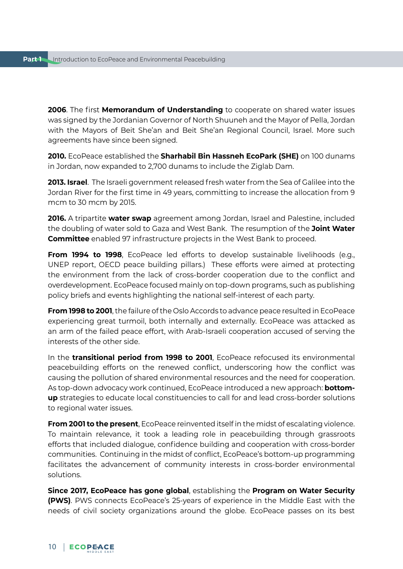**2006**. The first **Memorandum of Understanding** to cooperate on shared water issues was signed by the Jordanian Governor of North Shuuneh and the Mayor of Pella, Jordan with the Mayors of Beit She'an and Beit She'an Regional Council, Israel. More such agreements have since been signed.

**2010.** EcoPeace established the **Sharhabil Bin Hassneh EcoPark (SHE)** on 100 dunams in Jordan, now expanded to 2,700 dunams to include the Ziglab Dam.

**2013. Israel**. The Israeli government released fresh water from the Sea of Galilee into the Jordan River for the first time in 49 years, committing to increase the allocation from 9 mcm to 30 mcm by 2015.

**2016.** A tripartite **water swap** agreement among Jordan, Israel and Palestine, included the doubling of water sold to Gaza and West Bank. The resumption of the **Joint Water Committee** enabled 97 infrastructure projects in the West Bank to proceed.

**From 1994 to 1998**, EcoPeace led efforts to develop sustainable livelihoods (e.g., UNEP report, OECD peace building pillars.) These efforts were aimed at protecting the environment from the lack of cross-border cooperation due to the conflict and overdevelopment. EcoPeace focused mainly on top-down programs, such as publishing policy briefs and events highlighting the national self-interest of each party.

**From 1998 to 2001**, the failure of the Oslo Accords to advance peace resulted in EcoPeace experiencing great turmoil, both internally and externally. EcoPeace was attacked as an arm of the failed peace effort, with Arab-Israeli cooperation accused of serving the interests of the other side.

In the **transitional period from 1998 to 2001**, EcoPeace refocused its environmental peacebuilding efforts on the renewed conflict, underscoring how the conflict was causing the pollution of shared environmental resources and the need for cooperation. As top-down advocacy work continued, EcoPeace introduced a new approach: **bottomup** strategies to educate local constituencies to call for and lead cross-border solutions to regional water issues.

**From 2001 to the present**, EcoPeace reinvented itself in the midst of escalating violence. To maintain relevance, it took a leading role in peacebuilding through grassroots efforts that included dialogue, confidence building and cooperation with cross-border communities. Continuing in the midst of conflict, EcoPeace's bottom-up programming facilitates the advancement of community interests in cross-border environmental solutions.

**Since 2017, EcoPeace has gone global**, establishing the **Program on Water Security (PWS)**. PWS connects EcoPeace's 25-years of experience in the Middle East with the needs of civil society organizations around the globe. EcoPeace passes on its best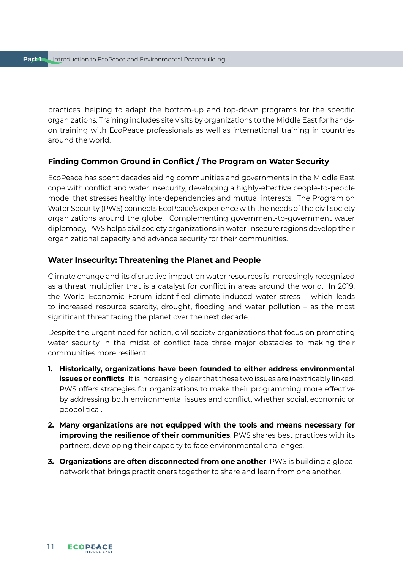practices, helping to adapt the bottom-up and top-down programs for the specific organizations. Training includes site visits by organizations to the Middle East for handson training with EcoPeace professionals as well as international training in countries around the world.

#### **Finding Common Ground in Conflict / The Program on Water Security**

EcoPeace has spent decades aiding communities and governments in the Middle East cope with conflict and water insecurity, developing a highly-effective people-to-people model that stresses healthy interdependencies and mutual interests. The Program on Water Security (PWS) connects EcoPeace's experience with the needs of the civil society organizations around the globe. Complementing government-to-government water diplomacy, PWS helps civil society organizations in water-insecure regions develop their organizational capacity and advance security for their communities.

#### **Water Insecurity: Threatening the Planet and People**

Climate change and its disruptive impact on water resources is increasingly recognized as a threat multiplier that is a catalyst for conflict in areas around the world. In 2019, the World Economic Forum identified climate-induced water stress – which leads to increased resource scarcity, drought, flooding and water pollution – as the most significant threat facing the planet over the next decade.

Despite the urgent need for action, civil society organizations that focus on promoting water security in the midst of conflict face three major obstacles to making their communities more resilient:

- **1. Historically, organizations have been founded to either address environmental issues or conflicts**. It is increasingly clear that these two issues are inextricably linked. PWS offers strategies for organizations to make their programming more effective by addressing both environmental issues and conflict, whether social, economic or geopolitical.
- **2. Many organizations are not equipped with the tools and means necessary for improving the resilience of their communities**. PWS shares best practices with its partners, developing their capacity to face environmental challenges.
- **3. Organizations are often disconnected from one another**. PWS is building a global network that brings practitioners together to share and learn from one another.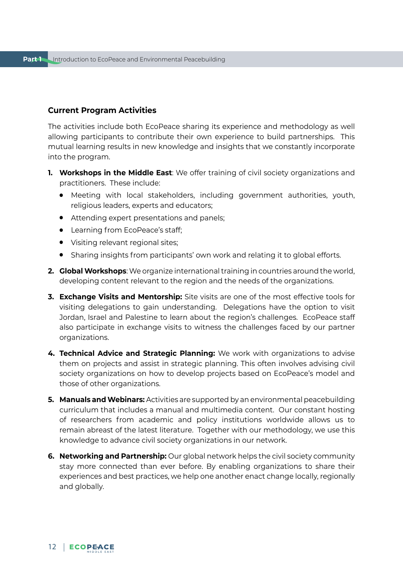#### **Current Program Activities**

The activities include both EcoPeace sharing its experience and methodology as well allowing participants to contribute their own experience to build partnerships. This mutual learning results in new knowledge and insights that we constantly incorporate into the program.

- **1. Workshops in the Middle East**: We offer training of civil society organizations and practitioners. These include:
	- Meeting with local stakeholders, including government authorities, youth, religious leaders, experts and educators;
	- Attending expert presentations and panels;
	- Learning from EcoPeace's staff;
	- Visiting relevant regional sites;
	- Sharing insights from participants' own work and relating it to global efforts.
- **2. Global Workshops**: We organize international training in countries around the world, developing content relevant to the region and the needs of the organizations.
- **3. Exchange Visits and Mentorship:** Site visits are one of the most effective tools for visiting delegations to gain understanding. Delegations have the option to visit Jordan, Israel and Palestine to learn about the region's challenges. EcoPeace staff also participate in exchange visits to witness the challenges faced by our partner organizations.
- **4. Technical Advice and Strategic Planning:** We work with organizations to advise them on projects and assist in strategic planning. This often involves advising civil society organizations on how to develop projects based on EcoPeace's model and those of other organizations.
- **5. Manuals and Webinars:** Activities are supported by an environmental peacebuilding curriculum that includes a manual and multimedia content. Our constant hosting of researchers from academic and policy institutions worldwide allows us to remain abreast of the latest literature. Together with our methodology, we use this knowledge to advance civil society organizations in our network.
- **6. Networking and Partnership:** Our global network helps the civil society community stay more connected than ever before. By enabling organizations to share their experiences and best practices, we help one another enact change locally, regionally and globally.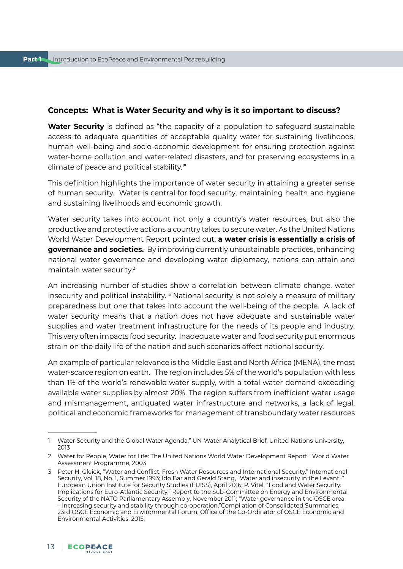#### **Concepts: What is Water Security and why is it so important to discuss?**

**Water Security** is defined as "the capacity of a population to safeguard sustainable access to adequate quantities of acceptable quality water for sustaining livelihoods, human well-being and socio-economic development for ensuring protection against water-borne pollution and water-related disasters, and for preserving ecosystems in a climate of peace and political stability.1 "

This definition highlights the importance of water security in attaining a greater sense of human security. Water is central for food security, maintaining health and hygiene and sustaining livelihoods and economic growth.

Water security takes into account not only a country's water resources, but also the productive and protective actions a country takes to secure water. As the United Nations World Water Development Report pointed out, **a water crisis is essentially a crisis of governance and societies.** By improving currently unsustainable practices, enhancing national water governance and developing water diplomacy, nations can attain and maintain water security.2

An increasing number of studies show a correlation between climate change, water insecurity and political instability. <sup>3</sup> National security is not solely a measure of military preparedness but one that takes into account the well-being of the people. A lack of water security means that a nation does not have adequate and sustainable water supplies and water treatment infrastructure for the needs of its people and industry. This very often impacts food security. Inadequate water and food security put enormous strain on the daily life of the nation and such scenarios affect national security.

An example of particular relevance is the Middle East and North Africa (MENA), the most water-scarce region on earth. The region includes 5% of the world's population with less than 1% of the world's renewable water supply, with a total water demand exceeding available water supplies by almost 20%. The region suffers from inefficient water usage and mismanagement, antiquated water infrastructure and networks, a lack of legal, political and economic frameworks for management of transboundary water resources

<sup>1</sup> Water Security and the Global Water Agenda," UN-Water Analytical Brief, United Nations University, 2013

<sup>2</sup> Water for People, Water for Life: The United Nations World Water Development Report." World Water Assessment Programme, 2003

<sup>3</sup> Peter H. Gleick, "Water and Conflict. Fresh Water Resources and International Security." International Security, Vol. 18, No. 1, Summer 1993; Ido Bar and Gerald Stang, "Water and insecurity in the Levant, " European Union Institute for Security Studies (EUISS), April 2016; P. Vitel, "Food and Water Security: Implications for Euro-Atlantic Security," Report to the Sub-Committee on Energy and Environmental Security of the NATO Parliamentary Assembly, November 2011; "Water governance in the OSCE area – Increasing security and stability through co-operation,"Compilation of Consolidated Summaries, 23rd OSCE Economic and Environmental Forum, Office of the Co-Ordinator of OSCE Economic and Environmental Activities, 2015.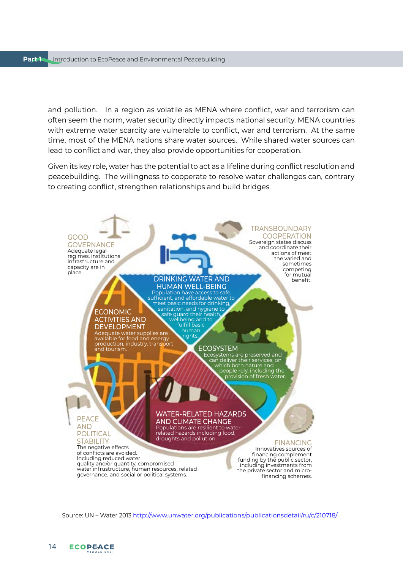and pollution. In a region as volatile as MENA where conflict, war and terrorism can often seem the norm, water security directly impacts national security. MENA countries with extreme water scarcity are vulnerable to conflict, war and terrorism. At the same time, most of the MENA nations share water sources. While shared water sources can lead to conflict and war, they also provide opportunities for cooperation.

Given its key role, water has the potential to act as a lifeline during conflict resolution and peacebuilding. The willingness to cooperate to resolve water challenges can, contrary to creating conflict, strengthen relationships and build bridges.



Source: UN – Water 2013 <http://www.unwater.org/publications/publicationsdetail/ru/c/210718/>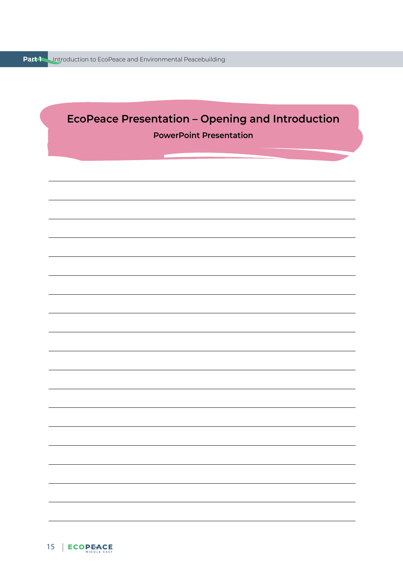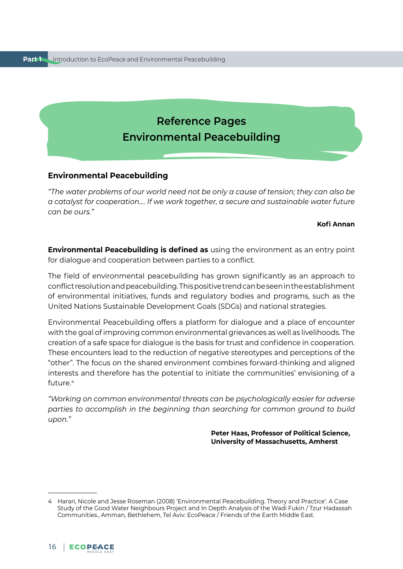## **Reference Pages Environmental Peacebuilding**

#### **Environmental Peacebuilding**

*"The water problems of our world need not be only a cause of tension; they can also be a catalyst for cooperation…. If we work together, a secure and sustainable water future can be ours."* 

#### **Kofi Annan**

**Environmental Peacebuilding is defined as** using the environment as an entry point for dialogue and cooperation between parties to a conflict.

The field of environmental peacebuilding has grown significantly as an approach to conflict resolution and peacebuilding. This positive trend can be seen in the establishment of environmental initiatives, funds and regulatory bodies and programs, such as the United Nations Sustainable Development Goals (SDGs) and national strategies.

Environmental Peacebuilding offers a platform for dialogue and a place of encounter with the goal of improving common environmental grievances as well as livelihoods. The creation of a safe space for dialogue is the basis for trust and confidence in cooperation. These encounters lead to the reduction of negative stereotypes and perceptions of the "other". The focus on the shared environment combines forward-thinking and aligned interests and therefore has the potential to initiate the communities' envisioning of a future  $4$ 

*"Working on common environmental threats can be psychologically easier for adverse parties to accomplish in the beginning than searching for common ground to build upon."*

> **Peter Haas, Professor of Political Science, University of Massachusetts, Amherst**

<sup>4</sup> Harari, Nicole and Jesse Roseman (2008) 'Environmental Peacebuilding. Theory and Practice'. A Case Study of the Good Water Neighbours Project and In Depth Analysis of the Wadi Fukin / Tzur Hadassah Communities., Amman, Bethlehem, Tel Aviv: EcoPeace / Friends of the Earth Middle East.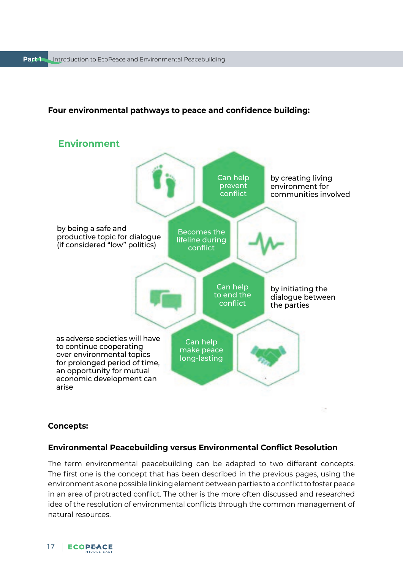#### **Four environmental pathways to peace and confidence building:**



#### **Concepts:**

#### **Environmental Peacebuilding versus Environmental Conflict Resolution**

The term environmental peacebuilding can be adapted to two different concepts. The first one is the concept that has been described in the previous pages, using the environment as one possible linking element between parties to a conflict to foster peace in an area of protracted conflict. The other is the more often discussed and researched idea of the resolution of environmental conflicts through the common management of natural resources.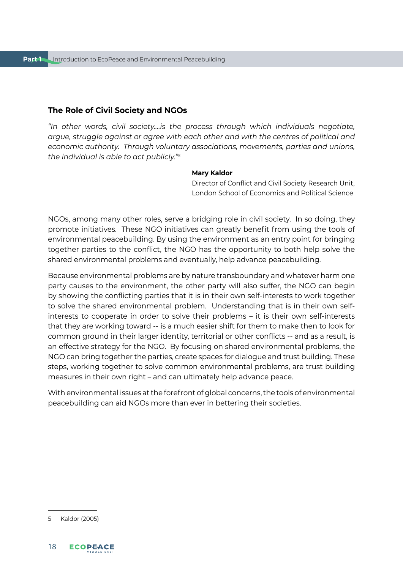#### **The Role of Civil Society and NGOs**

*"In other words, civil society….is the process through which individuals negotiate, argue, struggle against or agree with each other and with the centres of political and economic authority. Through voluntary associations, movements, parties and unions, the individual is able to act publicly."5*

#### **Mary Kaldor**

Director of Conflict and Civil Society Research Unit, London School of Economics and Political Science

NGOs, among many other roles, serve a bridging role in civil society. In so doing, they promote initiatives. These NGO initiatives can greatly benefit from using the tools of environmental peacebuilding. By using the environment as an entry point for bringing together parties to the conflict, the NGO has the opportunity to both help solve the shared environmental problems and eventually, help advance peacebuilding.

Because environmental problems are by nature transboundary and whatever harm one party causes to the environment, the other party will also suffer, the NGO can begin by showing the conflicting parties that it is in their own self-interests to work together to solve the shared environmental problem. Understanding that is in their own selfinterests to cooperate in order to solve their problems – it is their own self-interests that they are working toward -- is a much easier shift for them to make then to look for common ground in their larger identity, territorial or other conflicts -- and as a result, is an effective strategy for the NGO. By focusing on shared environmental problems, the NGO can bring together the parties, create spaces for dialogue and trust building. These steps, working together to solve common environmental problems, are trust building measures in their own right – and can ultimately help advance peace.

With environmental issues at the forefront of global concerns, the tools of environmental peacebuilding can aid NGOs more than ever in bettering their societies.

<sup>5</sup> Kaldor (2005)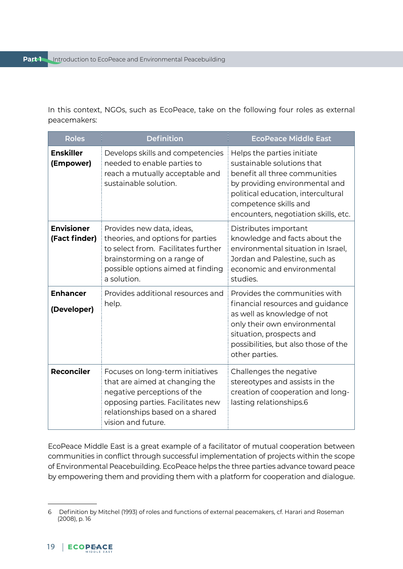In this context, NGOs, such as EcoPeace, take on the following four roles as external peacemakers:

| <b>Roles</b>                       | <b>Definition</b>                                                                                                                                                                               | <b>EcoPeace Middle East</b>                                                                                                                                                                                                        |
|------------------------------------|-------------------------------------------------------------------------------------------------------------------------------------------------------------------------------------------------|------------------------------------------------------------------------------------------------------------------------------------------------------------------------------------------------------------------------------------|
| <b>Enskiller</b><br>(Empower)      | Develops skills and competencies<br>needed to enable parties to<br>reach a mutually acceptable and<br>sustainable solution.                                                                     | Helps the parties initiate<br>sustainable solutions that<br>benefit all three communities<br>by providing environmental and<br>political education, intercultural<br>competence skills and<br>encounters, negotiation skills, etc. |
| <b>Envisioner</b><br>(Fact finder) | Provides new data, ideas,<br>theories, and options for parties<br>to select from. Facilitates further<br>brainstorming on a range of<br>possible options aimed at finding<br>a solution.        | Distributes important<br>knowledge and facts about the<br>environmental situation in Israel,<br>Jordan and Palestine, such as<br>economic and environmental<br>studies.                                                            |
| <b>Enhancer</b><br>(Developer)     | Provides additional resources and<br>help.                                                                                                                                                      | Provides the communities with<br>financial resources and guidance<br>as well as knowledge of not<br>only their own environmental<br>situation, prospects and<br>possibilities, but also those of the<br>other parties.             |
| <b>Reconciler</b>                  | Focuses on long-term initiatives<br>that are aimed at changing the<br>negative perceptions of the<br>opposing parties. Facilitates new<br>relationships based on a shared<br>vision and future. | Challenges the negative<br>stereotypes and assists in the<br>creation of cooperation and long-<br>lasting relationships.6                                                                                                          |

EcoPeace Middle East is a great example of a facilitator of mutual cooperation between communities in conflict through successful implementation of projects within the scope of Environmental Peacebuilding. EcoPeace helps the three parties advance toward peace by empowering them and providing them with a platform for cooperation and dialogue.

<sup>6</sup> Definition by Mitchel (1993) of roles and functions of external peacemakers, cf. Harari and Roseman (2008), p. 16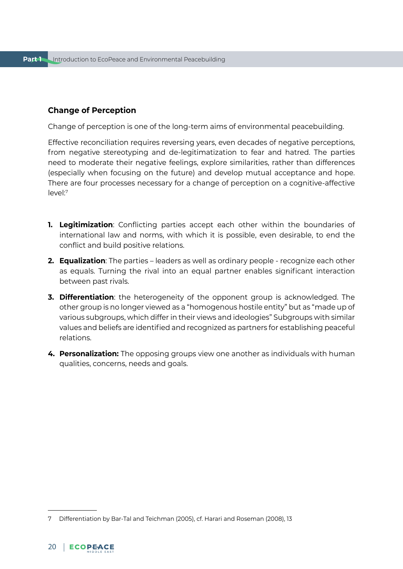#### **Change of Perception**

Change of perception is one of the long-term aims of environmental peacebuilding.

Effective reconciliation requires reversing years, even decades of negative perceptions, from negative stereotyping and de-legitimatization to fear and hatred. The parties need to moderate their negative feelings, explore similarities, rather than differences (especially when focusing on the future) and develop mutual acceptance and hope. There are four processes necessary for a change of perception on a cognitive-affective level:7

- **1. Legitimization**: Conflicting parties accept each other within the boundaries of international law and norms, with which it is possible, even desirable, to end the conflict and build positive relations.
- **2. Equalization**: The parties leaders as well as ordinary people recognize each other as equals. Turning the rival into an equal partner enables significant interaction between past rivals.
- **3. Differentiation**: the heterogeneity of the opponent group is acknowledged. The other group is no longer viewed as a "homogenous hostile entity" but as "made up of various subgroups, which differ in their views and ideologies" Subgroups with similar values and beliefs are identified and recognized as partners for establishing peaceful relations.
- **4. Personalization:** The opposing groups view one another as individuals with human qualities, concerns, needs and goals.

<sup>7</sup> Differentiation by Bar-Tal and Teichman (2005), cf. Harari and Roseman (2008), 13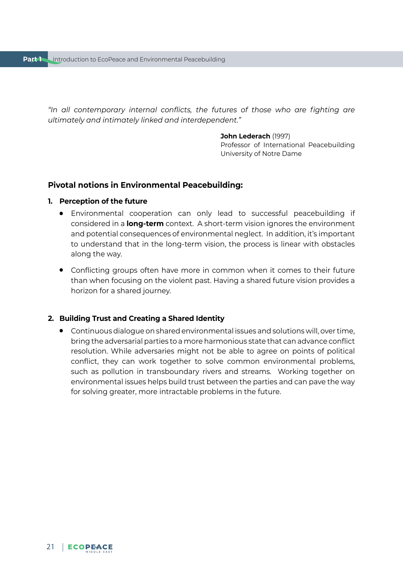*"In all contemporary internal conflicts, the futures of those who are fighting are ultimately and intimately linked and interdependent."*

#### **John Lederach** (1997)

Professor of International Peacebuilding University of Notre Dame

#### **Pivotal notions in Environmental Peacebuilding:**

#### **1. Perception of the future**

- Environmental cooperation can only lead to successful peacebuilding if considered in a **long-term** context. A short-term vision ignores the environment and potential consequences of environmental neglect. In addition, it's important to understand that in the long-term vision, the process is linear with obstacles along the way.
- Conflicting groups often have more in common when it comes to their future than when focusing on the violent past. Having a shared future vision provides a horizon for a shared journey.

#### **2. Building Trust and Creating a Shared Identity**

● Continuous dialogue on shared environmental issues and solutions will, over time, bring the adversarial parties to a more harmonious state that can advance conflict resolution. While adversaries might not be able to agree on points of political conflict, they can work together to solve common environmental problems, such as pollution in transboundary rivers and streams. Working together on environmental issues helps build trust between the parties and can pave the way for solving greater, more intractable problems in the future.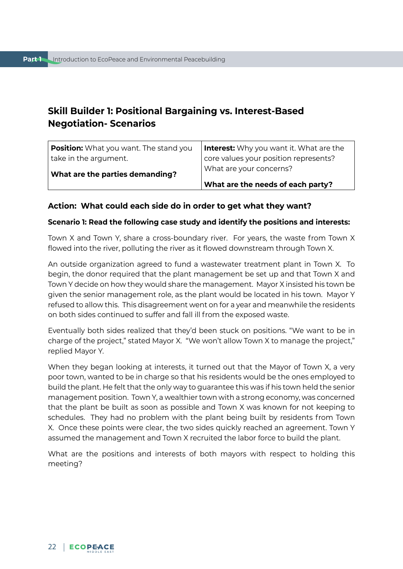## **Skill Builder 1: Positional Bargaining vs. Interest-Based Negotiation- Scenarios**

| <b>Position:</b> What you want. The stand you | <b>Interest:</b> Why you want it. What are the |
|-----------------------------------------------|------------------------------------------------|
| take in the argument.                         | core values your position represents?          |
| What are the parties demanding?               | What are your concerns?                        |
|                                               | What are the needs of each party?              |

#### **Action: What could each side do in order to get what they want?**

#### **Scenario 1: Read the following case study and identify the positions and interests:**

Town X and Town Y, share a cross-boundary river. For years, the waste from Town X flowed into the river, polluting the river as it flowed downstream through Town X.

An outside organization agreed to fund a wastewater treatment plant in Town X. To begin, the donor required that the plant management be set up and that Town X and Town Y decide on how they would share the management. Mayor X insisted his town be given the senior management role, as the plant would be located in his town. Mayor Y refused to allow this. This disagreement went on for a year and meanwhile the residents on both sides continued to suffer and fall ill from the exposed waste.

Eventually both sides realized that they'd been stuck on positions. "We want to be in charge of the project," stated Mayor X. "We won't allow Town X to manage the project," replied Mayor Y.

When they began looking at interests, it turned out that the Mayor of Town X, a very poor town, wanted to be in charge so that his residents would be the ones employed to build the plant. He felt that the only way to guarantee this was if his town held the senior management position. Town Y, a wealthier town with a strong economy, was concerned that the plant be built as soon as possible and Town X was known for not keeping to schedules. They had no problem with the plant being built by residents from Town X. Once these points were clear, the two sides quickly reached an agreement. Town Y assumed the management and Town X recruited the labor force to build the plant.

What are the positions and interests of both mayors with respect to holding this meeting?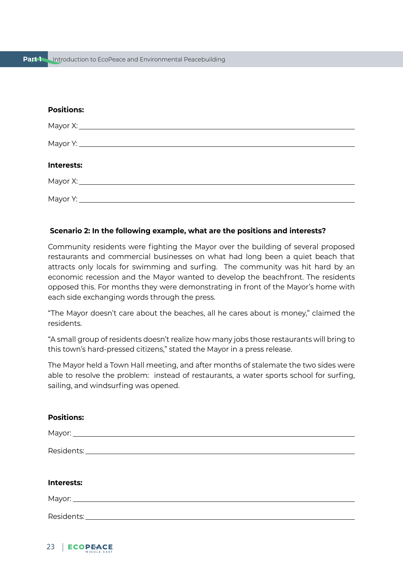#### **Positions:**

| Interests: |                                |  |  |  |
|------------|--------------------------------|--|--|--|
|            |                                |  |  |  |
|            | Mayor Y: _____________________ |  |  |  |

#### **Scenario 2: In the following example, what are the positions and interests?**

Community residents were fighting the Mayor over the building of several proposed restaurants and commercial businesses on what had long been a quiet beach that attracts only locals for swimming and surfing. The community was hit hard by an economic recession and the Mayor wanted to develop the beachfront. The residents opposed this. For months they were demonstrating in front of the Mayor's home with each side exchanging words through the press.

"The Mayor doesn't care about the beaches, all he cares about is money," claimed the residents.

"A small group of residents doesn't realize how many jobs those restaurants will bring to this town's hard-pressed citizens," stated the Mayor in a press release.

The Mayor held a Town Hall meeting, and after months of stalemate the two sides were able to resolve the problem: instead of restaurants, a water sports school for surfing, sailing, and windsurfing was opened.

| יכו וסוגועט ז                                                                                                  |  |
|----------------------------------------------------------------------------------------------------------------|--|
|                                                                                                                |  |
|                                                                                                                |  |
|                                                                                                                |  |
|                                                                                                                |  |
| Interests:                                                                                                     |  |
|                                                                                                                |  |
| Residents: National Communications of the Communications of the Communications of the Communications of the Co |  |

**Positions:**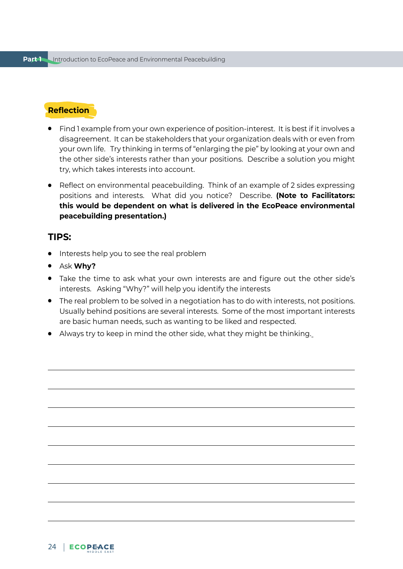### **Reflection**

- Find 1 example from your own experience of position-interest. It is best if it involves a disagreement. It can be stakeholders that your organization deals with or even from your own life. Try thinking in terms of "enlarging the pie" by looking at your own and the other side's interests rather than your positions. Describe a solution you might try, which takes interests into account.
- Reflect on environmental peacebuilding. Think of an example of 2 sides expressing positions and interests. What did you notice? Describe. **(Note to Facilitators: this would be dependent on what is delivered in the EcoPeace environmental peacebuilding presentation.)**

### **TIPS:**

- Interests help you to see the real problem
- Ask **Why?**
- Take the time to ask what your own interests are and figure out the other side's interests. Asking "Why?" will help you identify the interests
- The real problem to be solved in a negotiation has to do with interests, not positions. Usually behind positions are several interests. Some of the most important interests are basic human needs, such as wanting to be liked and respected.
- Always try to keep in mind the other side, what they might be thinking.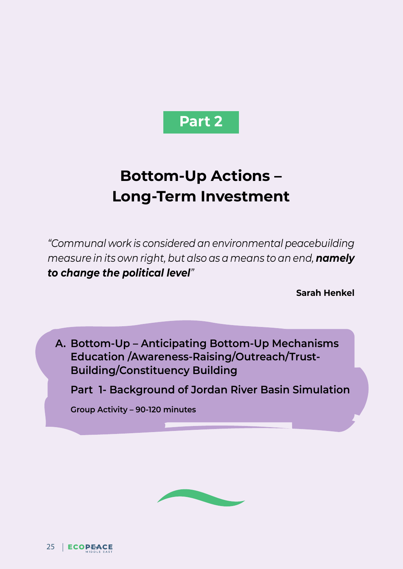

## **Bottom-Up Actions – Long-Term Investment**

*"Communal work is considered an environmental peacebuilding measure in its own right, but also as a means to an end, namely to change the political level"*

**Sarah Henkel**

**A. Bottom-Up – Anticipating Bottom-Up Mechanisms Education /Awareness-Raising/Outreach/Trust-Building/Constituency Building**

**Part 1- Background of Jordan River Basin Simulation** 

**Group Activity – 90-120 minutes**

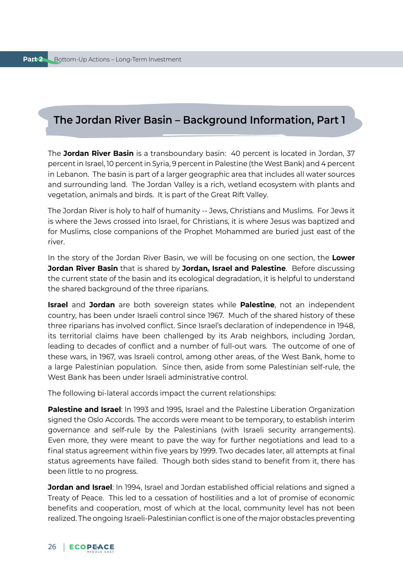## **The Jordan River Basin – Background Information, Part 1**

The **Jordan River Basin** is a transboundary basin: 40 percent is located in Jordan, 37 percent in Israel, 10 percent in Syria, 9 percent in Palestine (the West Bank) and 4 percent in Lebanon. The basin is part of a larger geographic area that includes all water sources and surrounding land. The Jordan Valley is a rich, wetland ecosystem with plants and vegetation, animals and birds. It is part of the Great Rift Valley.

The Jordan River is holy to half of humanity -- Jews, Christians and Muslims. For Jews it is where the Jews crossed into Israel, for Christians, it is where Jesus was baptized and for Muslims, close companions of the Prophet Mohammed are buried just east of the river.

In the story of the Jordan River Basin, we will be focusing on one section, the **Lower Jordan River Basin** that is shared by **Jordan, Israel and Palestine**. Before discussing the current state of the basin and its ecological degradation, it is helpful to understand the shared background of the three riparians.

**Israel** and **Jordan** are both sovereign states while **Palestine**, not an independent country, has been under Israeli control since 1967. Much of the shared history of these three riparians has involved conflict. Since Israel's declaration of independence in 1948, its territorial claims have been challenged by its Arab neighbors, including Jordan, leading to decades of conflict and a number of full-out wars. The outcome of one of these wars, in 1967, was Israeli control, among other areas, of the West Bank, home to a large Palestinian population. Since then, aside from some Palestinian self-rule, the West Bank has been under Israeli administrative control.

The following bi-lateral accords impact the current relationships:

**Palestine and Israel**: In 1993 and 1995, Israel and the Palestine Liberation Organization signed the Oslo Accords. The accords were meant to be temporary, to establish interim governance and self-rule by the Palestinians (with Israeli security arrangements). Even more, they were meant to pave the way for further negotiations and lead to a final status agreement within five years by 1999. Two decades later, all attempts at final status agreements have failed. Though both sides stand to benefit from it, there has been little to no progress.

**Jordan and Israel**: In 1994, Israel and Jordan established official relations and signed a Treaty of Peace. This led to a cessation of hostilities and a lot of promise of economic benefits and cooperation, most of which at the local, community level has not been realized. The ongoing Israeli-Palestinian conflict is one of the major obstacles preventing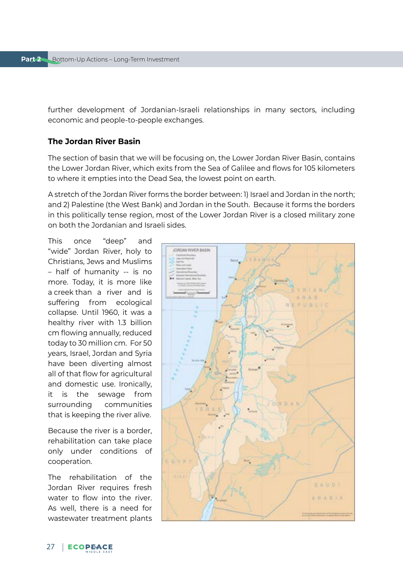further development of Jordanian-Israeli relationships in many sectors, including economic and people-to-people exchanges.

### **The Jordan River Basin**

The section of basin that we will be focusing on, the Lower Jordan River Basin, contains the Lower Jordan River, which exits from the Sea of Galilee and flows for 105 kilometers to where it empties into the Dead Sea, the lowest point on earth.

A stretch of the Jordan River forms the border between: 1) Israel and Jordan in the north; and 2) Palestine (the West Bank) and Jordan in the South. Because it forms the borders in this politically tense region, most of the Lower Jordan River is a closed military zone on both the Jordanian and Israeli sides.

This once "deep" and "wide" Jordan River, holy to Christians, Jews and Muslims – half of humanity -- is no more. Today, it is more like a creek than a river and is suffering from ecological collapse. Until 1960, it was a healthy river with 1.3 billion cm flowing annually, reduced today to 30 million cm. For 50 years, Israel, Jordan and Syria have been diverting almost all of that flow for agricultural and domestic use. Ironically, it is the sewage from surrounding communities that is keeping the river alive.

Because the river is a border, rehabilitation can take place only under conditions of cooperation.

The rehabilitation of the Jordan River requires fresh water to flow into the river. As well, there is a need for wastewater treatment plants

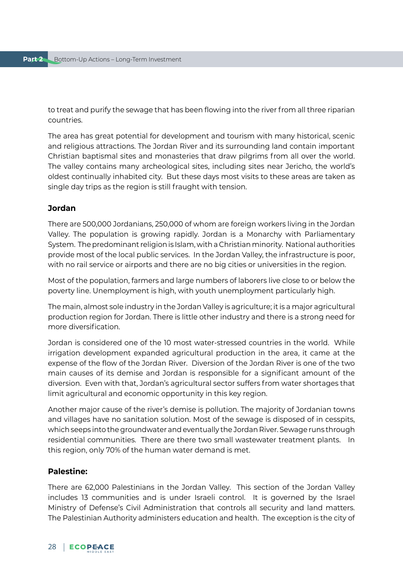to treat and purify the sewage that has been flowing into the river from all three riparian countries.

The area has great potential for development and tourism with many historical, scenic and religious attractions. The Jordan River and its surrounding land contain important Christian baptismal sites and monasteries that draw pilgrims from all over the world. The valley contains many archeological sites, including sites near Jericho, the world's oldest continually inhabited city. But these days most visits to these areas are taken as single day trips as the region is still fraught with tension.

#### **Jordan**

There are 500,000 Jordanians, 250,000 of whom are foreign workers living in the Jordan Valley. The population is growing rapidly. Jordan is a Monarchy with Parliamentary System. The predominant religion is Islam, with a Christian minority. National authorities provide most of the local public services. In the Jordan Valley, the infrastructure is poor, with no rail service or airports and there are no big cities or universities in the region.

Most of the population, farmers and large numbers of laborers live close to or below the poverty line. Unemployment is high, with youth unemployment particularly high.

The main, almost sole industry in the Jordan Valley is agriculture; it is a major agricultural production region for Jordan. There is little other industry and there is a strong need for more diversification.

Jordan is considered one of the 10 most water-stressed countries in the world. While irrigation development expanded agricultural production in the area, it came at the expense of the flow of the Jordan River. Diversion of the Jordan River is one of the two main causes of its demise and Jordan is responsible for a significant amount of the diversion. Even with that, Jordan's agricultural sector suffers from water shortages that limit agricultural and economic opportunity in this key region.

Another major cause of the river's demise is pollution. The majority of Jordanian towns and villages have no sanitation solution. Most of the sewage is disposed of in cesspits, which seeps into the groundwater and eventually the Jordan River. Sewage runs through residential communities. There are there two small wastewater treatment plants. In this region, only 70% of the human water demand is met.

#### **Palestine:**

There are 62,000 Palestinians in the Jordan Valley. This section of the Jordan Valley includes 13 communities and is under Israeli control. It is governed by the Israel Ministry of Defense's Civil Administration that controls all security and land matters. The Palestinian Authority administers education and health. The exception is the city of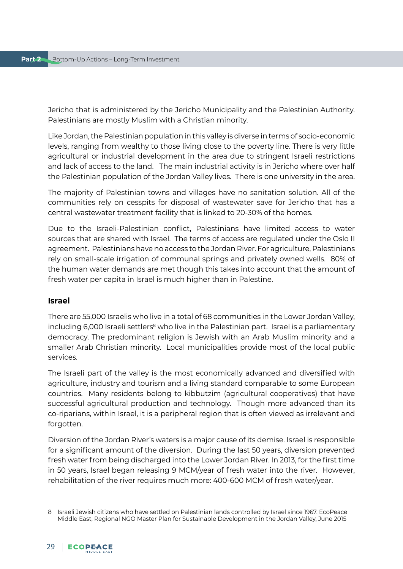Jericho that is administered by the Jericho Municipality and the Palestinian Authority. Palestinians are mostly Muslim with a Christian minority.

Like Jordan, the Palestinian population in this valley is diverse in terms of socio-economic levels, ranging from wealthy to those living close to the poverty line. There is very little agricultural or industrial development in the area due to stringent Israeli restrictions and lack of access to the land. The main industrial activity is in Jericho where over half the Palestinian population of the Jordan Valley lives. There is one university in the area.

The majority of Palestinian towns and villages have no sanitation solution. All of the communities rely on cesspits for disposal of wastewater save for Jericho that has a central wastewater treatment facility that is linked to 20-30% of the homes.

Due to the Israeli-Palestinian conflict, Palestinians have limited access to water sources that are shared with Israel. The terms of access are regulated under the Oslo II agreement. Palestinians have no access to the Jordan River. For agriculture, Palestinians rely on small-scale irrigation of communal springs and privately owned wells. 80% of the human water demands are met though this takes into account that the amount of fresh water per capita in Israel is much higher than in Palestine.

#### **Israel**

There are 55,000 Israelis who live in a total of 68 communities in the Lower Jordan Valley, including 6,000 Israeli settlers<sup>8</sup> who live in the Palestinian part. Israel is a parliamentary democracy. The predominant religion is Jewish with an Arab Muslim minority and a smaller Arab Christian minority. Local municipalities provide most of the local public services.

The Israeli part of the valley is the most economically advanced and diversified with agriculture, industry and tourism and a living standard comparable to some European countries. Many residents belong to kibbutzim (agricultural cooperatives) that have successful agricultural production and technology. Though more advanced than its co-riparians, within Israel, it is a peripheral region that is often viewed as irrelevant and forgotten.

Diversion of the Jordan River's waters is a major cause of its demise. Israel is responsible for a significant amount of the diversion. During the last 50 years, diversion prevented fresh water from being discharged into the Lower Jordan River. In 2013, for the first time in 50 years, Israel began releasing 9 MCM/year of fresh water into the river. However, rehabilitation of the river requires much more: 400-600 MCM of fresh water/year.

<sup>8</sup> Israeli Jewish citizens who have settled on Palestinian lands controlled by Israel since 1967. EcoPeace Middle East, Regional NGO Master Plan for Sustainable Development in the Jordan Valley, June 2015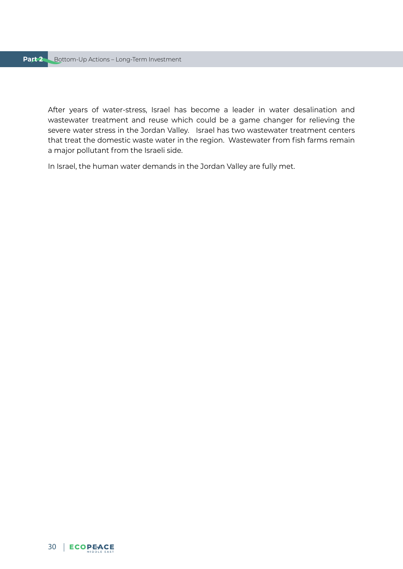After years of water-stress, Israel has become a leader in water desalination and wastewater treatment and reuse which could be a game changer for relieving the severe water stress in the Jordan Valley. Israel has two wastewater treatment centers that treat the domestic waste water in the region. Wastewater from fish farms remain a major pollutant from the Israeli side.

In Israel, the human water demands in the Jordan Valley are fully met.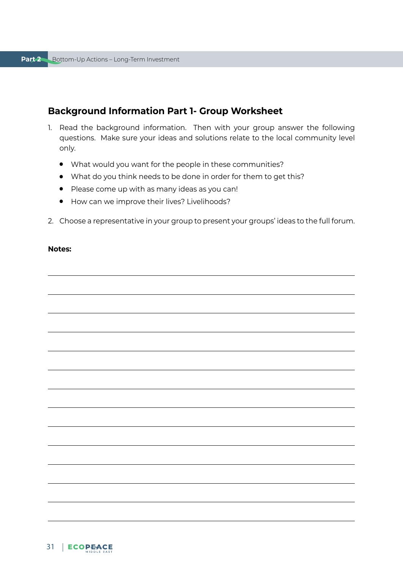### **Background Information Part 1- Group Worksheet**

- 1. Read the background information. Then with your group answer the following questions. Make sure your ideas and solutions relate to the local community level only.
	- What would you want for the people in these communities?
	- What do you think needs to be done in order for them to get this?
	- Please come up with as many ideas as you can!
	- How can we improve their lives? Livelihoods?
- 2. Choose a representative in your group to present your groups' ideas to the full forum.

#### **Notes:**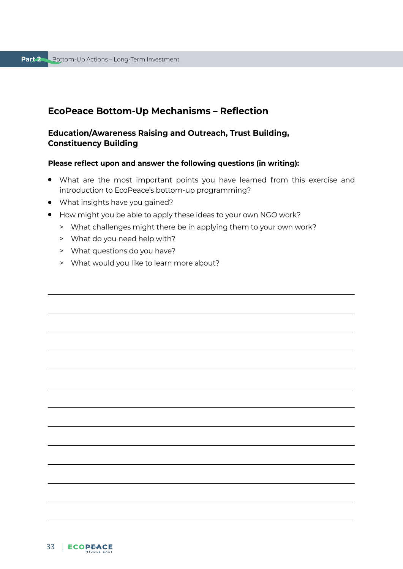### **EcoPeace Bottom-Up Mechanisms – Reflection**

#### **Education/Awareness Raising and Outreach, Trust Building, Constituency Building**

#### **Please reflect upon and answer the following questions (in writing):**

- What are the most important points you have learned from this exercise and introduction to EcoPeace's bottom-up programming?
- What insights have you gained?
- How might you be able to apply these ideas to your own NGO work?
	- > What challenges might there be in applying them to your own work?
	- > What do you need help with?
	- > What questions do you have?
	- > What would you like to learn more about?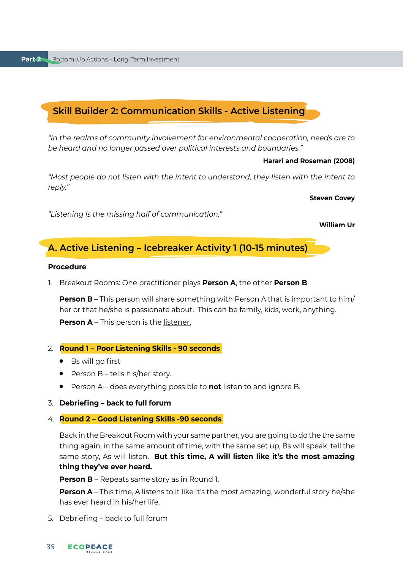## **Skill Builder 2: Communication Skills - Active Listening**

*"In the realms of community involvement for environmental cooperation, needs are to be heard and no longer passed over political interests and boundaries."*

#### **Harari and Roseman (2008)**

*"Most people do not listen with the intent to understand, they listen with the intent to reply."* 

#### **Steven Covey**

*"Listening is the missing half of communication."* 

**William Ur**

### **A. Active Listening – Icebreaker Activity 1 (10-15 minutes)**

#### **Procedure**

1. Breakout Rooms: One practitioner plays **Person A**, the other **Person B**

**Person B** – This person will share something with Person A that is important to him/ her or that he/she is passionate about. This can be family, kids, work, anything.

**Person A** – This person is the listener.

#### 2. **Round 1 – Poor Listening Skills - 90 seconds**

- Bs will go first
- $\bullet$  Person B tells his/her story.
- Person A does everything possible to **not** listen to and ignore B.

#### 3. **Debriefing – back to full forum**

#### 4. **Round 2 – Good Listening Skills -90 seconds**

Back in the Breakout Room with your same partner, you are going to do the the same thing again, in the same amount of time, with the same set up, Bs will speak, tell the same story, As will listen. **But this time, A will listen like it's the most amazing thing they've ever heard.** 

**Person B** – Repeats same story as in Round 1.

**Person A** – This time, A listens to it like it's the most amazing, wonderful story he/she has ever heard in his/her life.

5. Debriefing – back to full forum

#### 35 ECOPEACE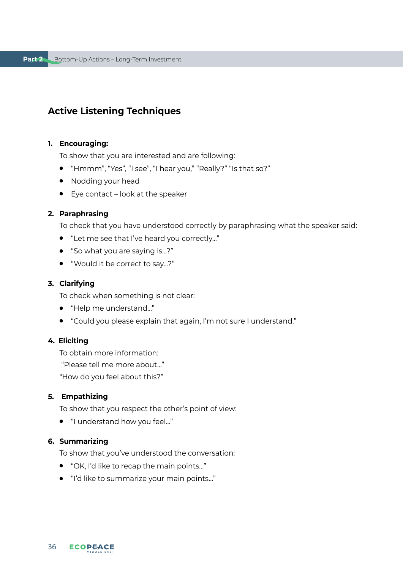# **Active Listening Techniques**

# **1. Encouraging:**

To show that you are interested and are following:

- "Hmmm", "Yes", "I see", "I hear you," "Really?" "Is that so?"
- Nodding your head
- Eye contact look at the speaker

# **2. Paraphrasing**

To check that you have understood correctly by paraphrasing what the speaker said:

- "Let me see that I've heard you correctly..."
- "So what you are saying is...?"
- "Would it be correct to say...?"

# **3. Clarifying**

To check when something is not clear:

- "Help me understand…"
- "Could you please explain that again, I'm not sure I understand."

# **4. Eliciting**

To obtain more information:

"Please tell me more about…"

"How do you feel about this?"

# **5. Empathizing**

To show that you respect the other's point of view:

● "I understand how you feel…"

# **6. Summarizing**

To show that you've understood the conversation:

- "OK, I'd like to recap the main points..."
- "I'd like to summarize your main points…"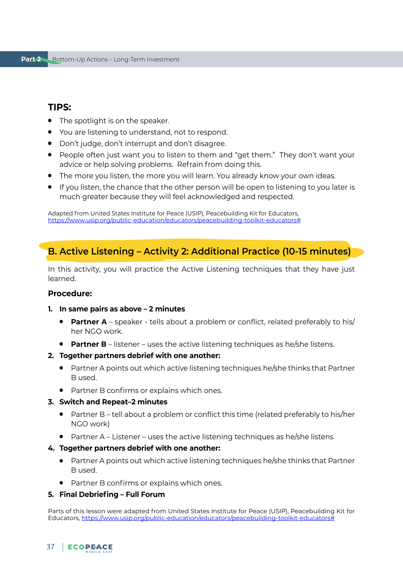# **TIPS:**

- The spotlight is on the speaker.
- You are listening to understand, not to respond.
- Don't judge, don't interrupt and don't disagree.
- People often just want you to listen to them and "get them." They don't want your advice or help solving problems. Refrain from doing this.
- The more you listen, the more you will learn. You already know your own ideas.
- If you listen, the chance that the other person will be open to listening to you later is much greater because they will feel acknowledged and respected.

Adapted from United States Institute for Peace (USIP), Peacebuilding Kit for Educators, [https://www.usip.org/public-education/educators/peacebuilding-toolkit-educators#](https://www.usip.org/public-education/educators/peacebuilding-toolkit-educators)

# **B. Active Listening – Activity 2: Additional Practice (10-15 minutes)**

In this activity, you will practice the Active Listening techniques that they have just learned.

#### **Procedure:**

#### **1. In same pairs as above – 2 minutes**

- **Partner A** speaker tells about a problem or conflict, related preferably to his/ her NGO work.
- **Partner B** listener uses the active listening techniques as he/she listens.

#### **2. Together partners debrief with one another:**

- Partner A points out which active listening techniques he/she thinks that Partner B used.
- Partner B confirms or explains which ones.

#### **3. Switch and Repeat–2 minutes**

- Partner B tell about a problem or conflict this time (related preferably to his/her NGO work)
- Partner A Listener uses the active listening techniques as he/she listens

#### **4. Together partners debrief with one another:**

- Partner A points out which active listening techniques he/she thinks that Partner B used.
- Partner B confirms or explains which ones.

#### **5. Final Debriefing – Full Forum**

Parts of this lesson were adapted from United States Institute for Peace (USIP), Peacebuilding Kit for Educators, [https://www.usip.org/public-education/educators/peacebuilding-toolkit-educators#](https://www.usip.org/public-education/educators/peacebuilding-toolkit-educators)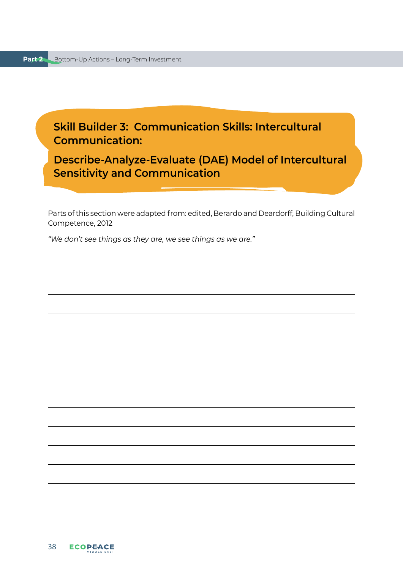# **Skill Builder 3: Communication Skills: Intercultural Communication:**

**Describe-Analyze-Evaluate (DAE) Model of Intercultural Sensitivity and Communication**

Parts of this section were adapted from: edited, Berardo and Deardorff, Building Cultural Competence, 2012

*"We don't see things as they are, we see things as we are."*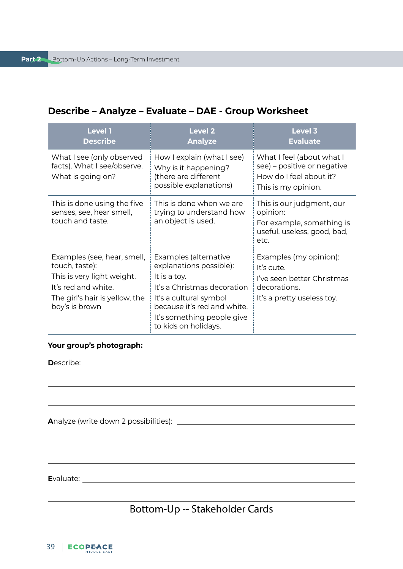# **Describe – Analyze – Evaluate – DAE - Group Worksheet**

| <b>Level 1</b><br><b>Describe</b>                                                                                                                      | <b>Level 2</b><br><b>Analyze</b>                                                                                                                                                                               | <b>Level 3</b><br><b>Evaluate</b>                                                                                |  |
|--------------------------------------------------------------------------------------------------------------------------------------------------------|----------------------------------------------------------------------------------------------------------------------------------------------------------------------------------------------------------------|------------------------------------------------------------------------------------------------------------------|--|
| What I see (only observed<br>facts). What I see/observe.<br>What is going on?                                                                          | How I explain (what I see)<br>Why is it happening?<br>(there are different<br>possible explanations)                                                                                                           | What I feel (about what I<br>see) – positive or negative<br>How do I feel about it?<br>This is my opinion.       |  |
| This is done using the five<br>senses, see, hear smell,<br>touch and taste.                                                                            | This is done when we are<br>trying to understand how<br>an object is used.                                                                                                                                     | This is our judgment, our<br>opinion:<br>For example, something is<br>useful, useless, good, bad,<br>etc.        |  |
| Examples (see, hear, smell,<br>touch, taste):<br>This is very light weight.<br>It's red and white.<br>The girl's hair is yellow, the<br>boy's is brown | Examples (alternative<br>explanations possible):<br>It is a toy.<br>It's a Christmas decoration<br>It's a cultural symbol<br>because it's red and white.<br>It's something people give<br>to kids on holidays. | Examples (my opinion):<br>It's cute.<br>I've seen better Christmas<br>decorations.<br>It's a pretty useless toy. |  |

#### **Your group's photograph:**

**D**escribe:

**A**nalyze (write down 2 possibilities):

**E**valuate:

# Bottom-Up -- Stakeholder Cards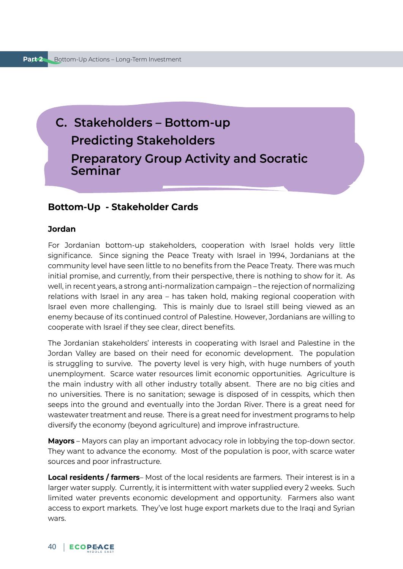# **C. Stakeholders – Bottom-up Predicting Stakeholders Preparatory Group Activity and Socratic Seminar**

# **Bottom-Up - Stakeholder Cards**

#### **Jordan**

For Jordanian bottom-up stakeholders, cooperation with Israel holds very little significance. Since signing the Peace Treaty with Israel in 1994, Jordanians at the community level have seen little to no benefits from the Peace Treaty. There was much initial promise, and currently, from their perspective, there is nothing to show for it. As well, in recent years, a strong anti-normalization campaign – the rejection of normalizing relations with Israel in any area – has taken hold, making regional cooperation with Israel even more challenging. This is mainly due to Israel still being viewed as an enemy because of its continued control of Palestine. However, Jordanians are willing to cooperate with Israel if they see clear, direct benefits.

The Jordanian stakeholders' interests in cooperating with Israel and Palestine in the Jordan Valley are based on their need for economic development. The population is struggling to survive. The poverty level is very high, with huge numbers of youth unemployment. Scarce water resources limit economic opportunities. Agriculture is the main industry with all other industry totally absent. There are no big cities and no universities. There is no sanitation; sewage is disposed of in cesspits, which then seeps into the ground and eventually into the Jordan River. There is a great need for wastewater treatment and reuse. There is a great need for investment programs to help diversify the economy (beyond agriculture) and improve infrastructure.

**Mayors** – Mayors can play an important advocacy role in lobbying the top-down sector. They want to advance the economy. Most of the population is poor, with scarce water sources and poor infrastructure.

**Local residents / farmers**– Most of the local residents are farmers. Their interest is in a larger water supply. Currently, it is intermittent with water supplied every 2 weeks. Such limited water prevents economic development and opportunity. Farmers also want access to export markets. They've lost huge export markets due to the Iraqi and Syrian wars.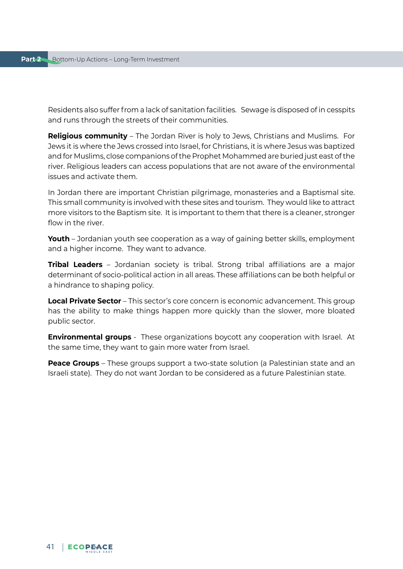Residents also suffer from a lack of sanitation facilities. Sewage is disposed of in cesspits and runs through the streets of their communities.

**Religious community** – The Jordan River is holy to Jews, Christians and Muslims. For Jews it is where the Jews crossed into Israel, for Christians, it is where Jesus was baptized and for Muslims, close companions of the Prophet Mohammed are buried just east of the river. Religious leaders can access populations that are not aware of the environmental issues and activate them.

In Jordan there are important Christian pilgrimage, monasteries and a Baptismal site. This small community is involved with these sites and tourism. They would like to attract more visitors to the Baptism site. It is important to them that there is a cleaner, stronger flow in the river.

**Youth** – Jordanian youth see cooperation as a way of gaining better skills, employment and a higher income. They want to advance.

**Tribal Leaders** – Jordanian society is tribal. Strong tribal affiliations are a major determinant of socio-political action in all areas. These affiliations can be both helpful or a hindrance to shaping policy.

**Local Private Sector** – This sector's core concern is economic advancement. This group has the ability to make things happen more quickly than the slower, more bloated public sector.

**Environmental groups** - These organizations boycott any cooperation with Israel. At the same time, they want to gain more water from Israel.

**Peace Groups** – These groups support a two-state solution (a Palestinian state and an Israeli state). They do not want Jordan to be considered as a future Palestinian state.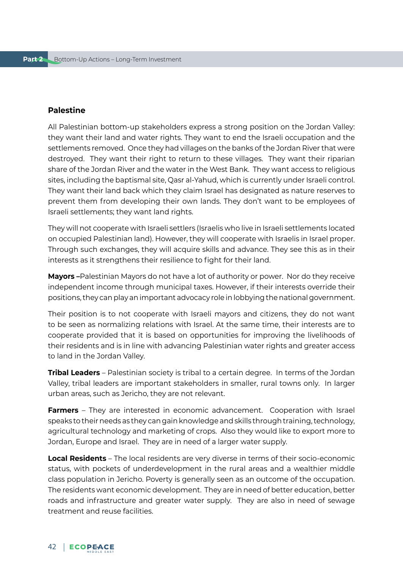#### **Palestine**

All Palestinian bottom-up stakeholders express a strong position on the Jordan Valley: they want their land and water rights. They want to end the Israeli occupation and the settlements removed. Once they had villages on the banks of the Jordan River that were destroyed. They want their right to return to these villages. They want their riparian share of the Jordan River and the water in the West Bank. They want access to religious sites, including the baptismal site, Qasr al-Yahud, which is currently under Israeli control. They want their land back which they claim Israel has designated as nature reserves to prevent them from developing their own lands. They don't want to be employees of Israeli settlements; they want land rights.

They will not cooperate with Israeli settlers (Israelis who live in Israeli settlements located on occupied Palestinian land). However, they will cooperate with Israelis in Israel proper. Through such exchanges, they will acquire skills and advance. They see this as in their interests as it strengthens their resilience to fight for their land.

**Mayors –**Palestinian Mayors do not have a lot of authority or power. Nor do they receive independent income through municipal taxes. However, if their interests override their positions, they can play an important advocacy role in lobbying the national government.

Their position is to not cooperate with Israeli mayors and citizens, they do not want to be seen as normalizing relations with Israel. At the same time, their interests are to cooperate provided that it is based on opportunities for improving the livelihoods of their residents and is in line with advancing Palestinian water rights and greater access to land in the Jordan Valley.

**Tribal Leaders** – Palestinian society is tribal to a certain degree. In terms of the Jordan Valley, tribal leaders are important stakeholders in smaller, rural towns only. In larger urban areas, such as Jericho, they are not relevant.

**Farmers** – They are interested in economic advancement. Cooperation with Israel speaks to their needs as they can gain knowledge and skills through training, technology, agricultural technology and marketing of crops. Also they would like to export more to Jordan, Europe and Israel. They are in need of a larger water supply.

**Local Residents** – The local residents are very diverse in terms of their socio-economic status, with pockets of underdevelopment in the rural areas and a wealthier middle class population in Jericho. Poverty is generally seen as an outcome of the occupation. The residents want economic development. They are in need of better education, better roads and infrastructure and greater water supply. They are also in need of sewage treatment and reuse facilities.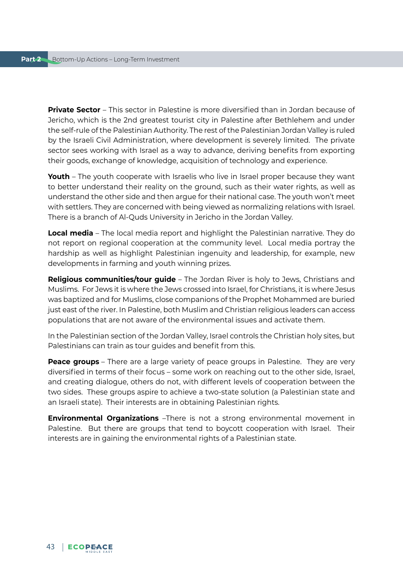**Private Sector** – This sector in Palestine is more diversified than in Jordan because of Jericho, which is the 2nd greatest tourist city in Palestine after Bethlehem and under the self-rule of the Palestinian Authority. The rest of the Palestinian Jordan Valley is ruled by the Israeli Civil Administration, where development is severely limited. The private sector sees working with Israel as a way to advance, deriving benefits from exporting their goods, exchange of knowledge, acquisition of technology and experience.

**Youth** – The youth cooperate with Israelis who live in Israel proper because they want to better understand their reality on the ground, such as their water rights, as well as understand the other side and then argue for their national case. The youth won't meet with settlers. They are concerned with being viewed as normalizing relations with Israel. There is a branch of Al-Quds University in Jericho in the Jordan Valley.

**Local media** – The local media report and highlight the Palestinian narrative. They do not report on regional cooperation at the community level. Local media portray the hardship as well as highlight Palestinian ingenuity and leadership, for example, new developments in farming and youth winning prizes.

**Religious communities/tour guide** – The Jordan River is holy to Jews, Christians and Muslims. For Jews it is where the Jews crossed into Israel, for Christians, it is where Jesus was baptized and for Muslims, close companions of the Prophet Mohammed are buried just east of the river. In Palestine, both Muslim and Christian religious leaders can access populations that are not aware of the environmental issues and activate them.

In the Palestinian section of the Jordan Valley, Israel controls the Christian holy sites, but Palestinians can train as tour guides and benefit from this.

**Peace groups** – There are a large variety of peace groups in Palestine. They are very diversified in terms of their focus – some work on reaching out to the other side, Israel, and creating dialogue, others do not, with different levels of cooperation between the two sides. These groups aspire to achieve a two-state solution (a Palestinian state and an Israeli state). Their interests are in obtaining Palestinian rights.

**Environmental Organizations** –There is not a strong environmental movement in Palestine. But there are groups that tend to boycott cooperation with Israel. Their interests are in gaining the environmental rights of a Palestinian state.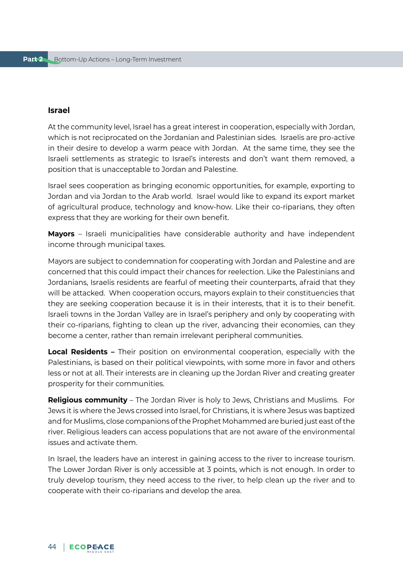### **Israel**

At the community level, Israel has a great interest in cooperation, especially with Jordan, which is not reciprocated on the Jordanian and Palestinian sides. Israelis are pro-active in their desire to develop a warm peace with Jordan. At the same time, they see the Israeli settlements as strategic to Israel's interests and don't want them removed, a position that is unacceptable to Jordan and Palestine.

Israel sees cooperation as bringing economic opportunities, for example, exporting to Jordan and via Jordan to the Arab world. Israel would like to expand its export market of agricultural produce, technology and know-how. Like their co-riparians, they often express that they are working for their own benefit.

**Mayors** – Israeli municipalities have considerable authority and have independent income through municipal taxes.

Mayors are subject to condemnation for cooperating with Jordan and Palestine and are concerned that this could impact their chances for reelection. Like the Palestinians and Jordanians, Israelis residents are fearful of meeting their counterparts, afraid that they will be attacked. When cooperation occurs, mayors explain to their constituencies that they are seeking cooperation because it is in their interests, that it is to their benefit. Israeli towns in the Jordan Valley are in Israel's periphery and only by cooperating with their co-riparians, fighting to clean up the river, advancing their economies, can they become a center, rather than remain irrelevant peripheral communities.

**Local Residents –** Their position on environmental cooperation, especially with the Palestinians, is based on their political viewpoints, with some more in favor and others less or not at all. Their interests are in cleaning up the Jordan River and creating greater prosperity for their communities.

**Religious community** – The Jordan River is holy to Jews, Christians and Muslims. For Jews it is where the Jews crossed into Israel, for Christians, it is where Jesus was baptized and for Muslims, close companions of the Prophet Mohammed are buried just east of the river. Religious leaders can access populations that are not aware of the environmental issues and activate them.

In Israel, the leaders have an interest in gaining access to the river to increase tourism. The Lower Jordan River is only accessible at 3 points, which is not enough. In order to truly develop tourism, they need access to the river, to help clean up the river and to cooperate with their co-riparians and develop the area.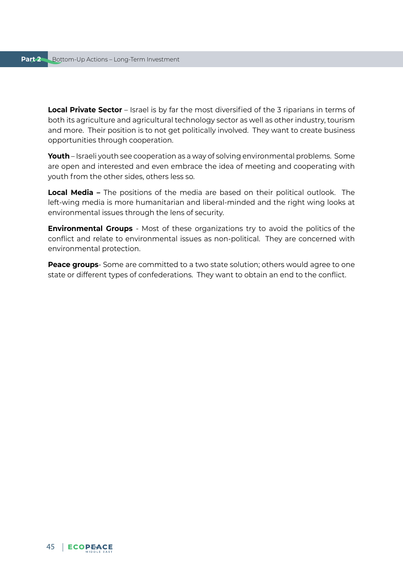**Local Private Sector** – Israel is by far the most diversified of the 3 riparians in terms of both its agriculture and agricultural technology sector as well as other industry, tourism and more. Their position is to not get politically involved. They want to create business opportunities through cooperation.

**Youth** – Israeli youth see cooperation as a way of solving environmental problems. Some are open and interested and even embrace the idea of meeting and cooperating with youth from the other sides, others less so.

**Local Media –** The positions of the media are based on their political outlook. The left-wing media is more humanitarian and liberal-minded and the right wing looks at environmental issues through the lens of security.

**Environmental Groups** - Most of these organizations try to avoid the politics of the conflict and relate to environmental issues as non-political. They are concerned with environmental protection.

**Peace groups**- Some are committed to a two state solution; others would agree to one state or different types of confederations. They want to obtain an end to the conflict.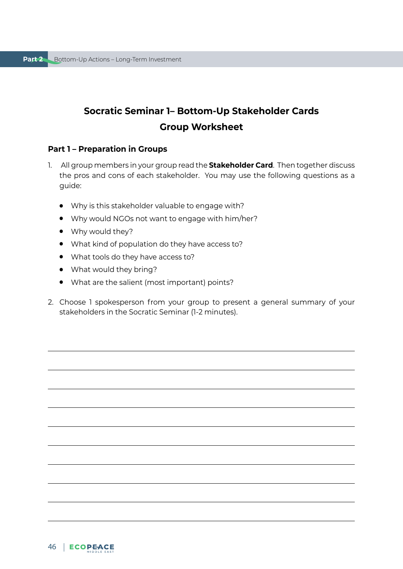# **Socratic Seminar 1– Bottom-Up Stakeholder Cards Group Worksheet**

### **Part 1 – Preparation in Groups**

- 1. All group members in your group read the **Stakeholder Card**. Then together discuss the pros and cons of each stakeholder. You may use the following questions as a guide:
	- Why is this stakeholder valuable to engage with?
	- Why would NGOs not want to engage with him/her?
	- Why would they?
	- What kind of population do they have access to?
	- What tools do they have access to?
	- What would they bring?
	- What are the salient (most important) points?
- 2. Choose 1 spokesperson from your group to present a general summary of your stakeholders in the Socratic Seminar (1-2 minutes).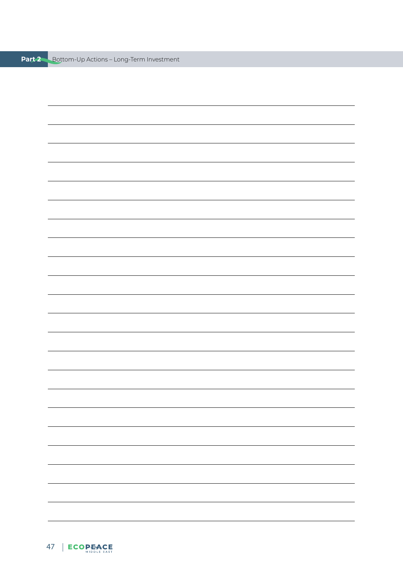|  |  | <b>Part 2</b> Bottom-Up Actions - Long-Term Investment |  |  |
|--|--|--------------------------------------------------------|--|--|
|--|--|--------------------------------------------------------|--|--|

| -                        |
|--------------------------|
|                          |
|                          |
| -                        |
|                          |
| $\overline{\phantom{a}}$ |
|                          |
| $\overline{\phantom{0}}$ |
|                          |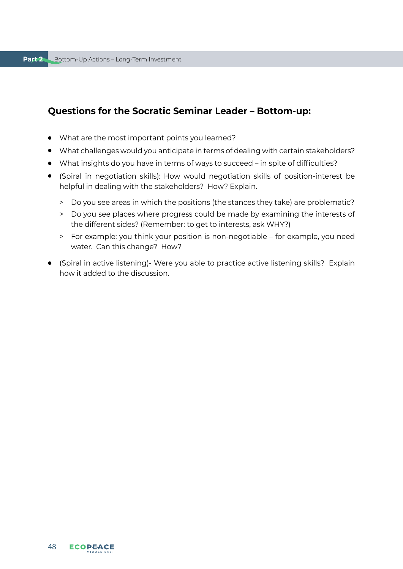# **Questions for the Socratic Seminar Leader – Bottom-up:**

- What are the most important points you learned?
- What challenges would you anticipate in terms of dealing with certain stakeholders?
- What insights do you have in terms of ways to succeed in spite of difficulties?
- (Spiral in negotiation skills): How would negotiation skills of position-interest be helpful in dealing with the stakeholders? How? Explain.
	- > Do you see areas in which the positions (the stances they take) are problematic?
	- > Do you see places where progress could be made by examining the interests of the different sides? (Remember: to get to interests, ask WHY?)
	- > For example: you think your position is non-negotiable for example, you need water. Can this change? How?
- (Spiral in active listening)- Were you able to practice active listening skills? Explain how it added to the discussion.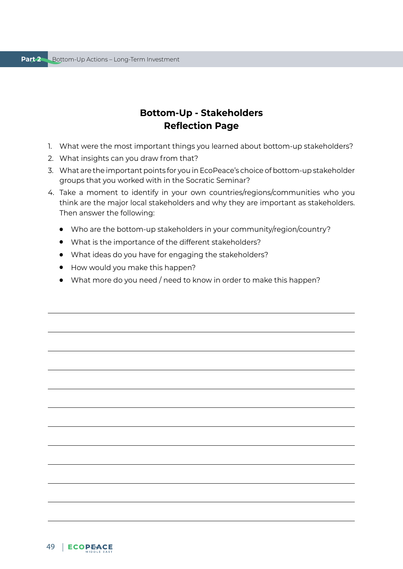# **Bottom-Up - Stakeholders Reflection Page**

- 1. What were the most important things you learned about bottom-up stakeholders?
- 2. What insights can you draw from that?
- 3. What are the important points for you in EcoPeace's choice of bottom-up stakeholder groups that you worked with in the Socratic Seminar?
- 4. Take a moment to identify in your own countries/regions/communities who you think are the major local stakeholders and why they are important as stakeholders. Then answer the following:
	- Who are the bottom-up stakeholders in your community/region/country?
	- What is the importance of the different stakeholders?
	- What ideas do you have for engaging the stakeholders?
	- How would you make this happen?
	- What more do you need / need to know in order to make this happen?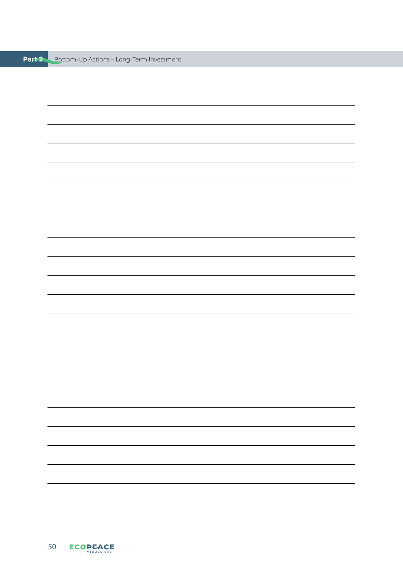| - |
|---|
|   |
|   |
|   |
|   |
|   |
|   |
|   |
|   |
|   |
|   |
|   |
|   |
|   |
|   |
|   |
|   |
|   |
|   |
|   |
|   |
|   |
|   |
|   |
|   |
|   |
|   |
|   |
|   |
|   |
|   |
|   |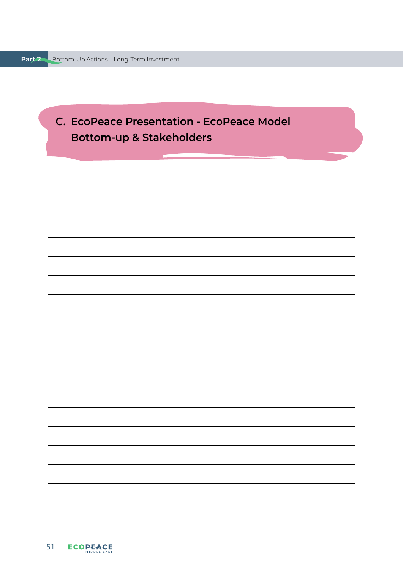| <b>Bottom-up &amp; Stakeholders</b> |  |
|-------------------------------------|--|
|                                     |  |
|                                     |  |
|                                     |  |
|                                     |  |
|                                     |  |
|                                     |  |
|                                     |  |
|                                     |  |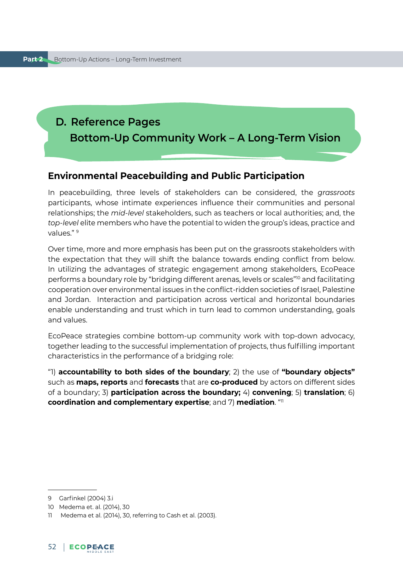# **D. Reference Pages Bottom-Up Community Work – A Long-Term Vision**

# **Environmental Peacebuilding and Public Participation**

In peacebuilding, three levels of stakeholders can be considered, the *grassroots*  participants, whose intimate experiences influence their communities and personal relationships; the *mid-level* stakeholders, such as teachers or local authorities; and, the *top-level* elite members who have the potential to widen the group's ideas, practice and values." 9

Over time, more and more emphasis has been put on the grassroots stakeholders with the expectation that they will shift the balance towards ending conflict from below. In utilizing the advantages of strategic engagement among stakeholders, EcoPeace performs a boundary role by "bridging different arenas, levels or scales"<sup>10</sup> and facilitating cooperation over environmental issues in the conflict-ridden societies of Israel, Palestine and Jordan. Interaction and participation across vertical and horizontal boundaries enable understanding and trust which in turn lead to common understanding, goals and values.

EcoPeace strategies combine bottom-up community work with top-down advocacy, together leading to the successful implementation of projects, thus fulfilling important characteristics in the performance of a bridging role:

"1) **accountability to both sides of the boundary**; 2) the use of **"boundary objects"**  such as **maps, reports** and **forecasts** that are **co-produced** by actors on different sides of a boundary; 3) **participation across the boundary;** 4) **convening**; 5) **translation**; 6) **coordination and complementary expertise**; and 7) **mediation**. "11

<sup>9</sup> Garfinkel (2004) 3.i

<sup>10</sup> Medema et. al. (2014), 30

<sup>11</sup> Medema et al. (2014), 30, referring to Cash et al. (2003).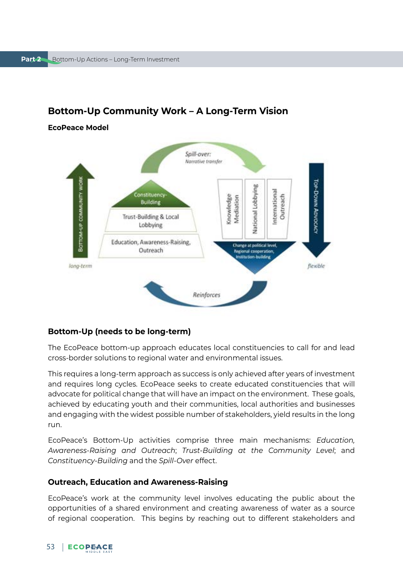

# **Bottom-Up Community Work – A Long-Term Vision**

**Bottom-Up (needs to be long-term)**

The EcoPeace bottom-up approach educates local constituencies to call for and lead cross-border solutions to regional water and environmental issues.

This requires a long-term approach as success is only achieved after years of investment and requires long cycles. EcoPeace seeks to create educated constituencies that will advocate for political change that will have an impact on the environment. These goals, achieved by educating youth and their communities, local authorities and businesses and engaging with the widest possible number of stakeholders, yield results in the long run.

EcoPeace's Bottom-Up activities comprise three main mechanisms: *Education, Awareness-Raising and Outreach*; *Trust-Building at the Community Level*; and *Constituency-Building* and the *Spill-Over* effect.

# **Outreach, Education and Awareness-Raising**

EcoPeace's work at the community level involves educating the public about the opportunities of a shared environment and creating awareness of water as a source of regional cooperation. This begins by reaching out to different stakeholders and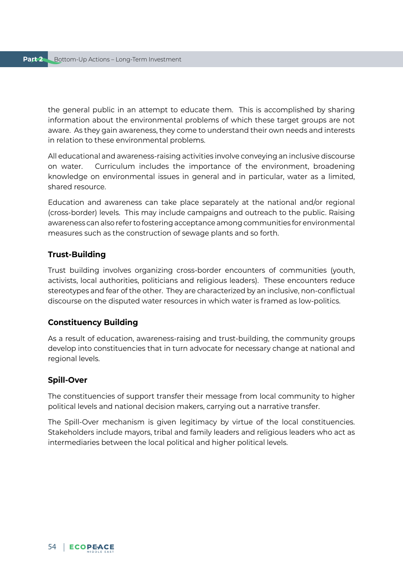the general public in an attempt to educate them. This is accomplished by sharing information about the environmental problems of which these target groups are not aware. As they gain awareness, they come to understand their own needs and interests in relation to these environmental problems.

All educational and awareness-raising activities involve conveying an inclusive discourse on water. Curriculum includes the importance of the environment, broadening knowledge on environmental issues in general and in particular, water as a limited, shared resource.

Education and awareness can take place separately at the national and/or regional (cross-border) levels. This may include campaigns and outreach to the public. Raising awareness can also refer to fostering acceptance among communities for environmental measures such as the construction of sewage plants and so forth.

# **Trust-Building**

Trust building involves organizing cross-border encounters of communities (youth, activists, local authorities, politicians and religious leaders). These encounters reduce stereotypes and fear of the other. They are characterized by an inclusive, non-conflictual discourse on the disputed water resources in which water is framed as low-politics.

## **Constituency Building**

As a result of education, awareness-raising and trust-building, the community groups develop into constituencies that in turn advocate for necessary change at national and regional levels.

## **Spill-Over**

The constituencies of support transfer their message from local community to higher political levels and national decision makers, carrying out a narrative transfer.

The Spill-Over mechanism is given legitimacy by virtue of the local constituencies. Stakeholders include mayors, tribal and family leaders and religious leaders who act as intermediaries between the local political and higher political levels.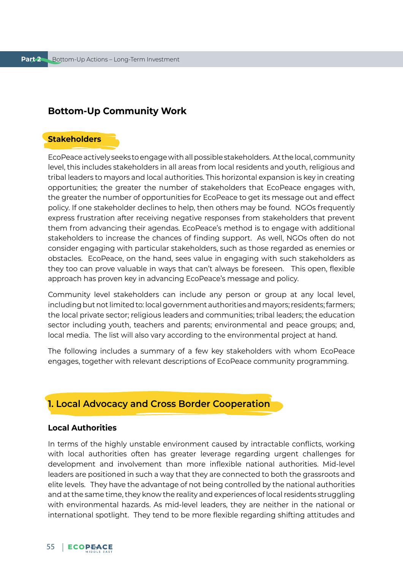# **Bottom-Up Community Work**

## **Stakeholders**

EcoPeace actively seeks to engage with all possible stakeholders. At the local, community level, this includes stakeholders in all areas from local residents and youth, religious and tribal leaders to mayors and local authorities. This horizontal expansion is key in creating opportunities; the greater the number of stakeholders that EcoPeace engages with, the greater the number of opportunities for EcoPeace to get its message out and effect policy. If one stakeholder declines to help, then others may be found. NGOs frequently express frustration after receiving negative responses from stakeholders that prevent them from advancing their agendas. EcoPeace's method is to engage with additional stakeholders to increase the chances of finding support. As well, NGOs often do not consider engaging with particular stakeholders, such as those regarded as enemies or obstacles. EcoPeace, on the hand, sees value in engaging with such stakeholders as they too can prove valuable in ways that can't always be foreseen. This open, flexible approach has proven key in advancing EcoPeace's message and policy.

Community level stakeholders can include any person or group at any local level, including but not limited to: local government authorities and mayors; residents; farmers; the local private sector; religious leaders and communities; tribal leaders; the education sector including youth, teachers and parents; environmental and peace groups; and, local media. The list will also vary according to the environmental project at hand.

The following includes a summary of a few key stakeholders with whom EcoPeace engages, together with relevant descriptions of EcoPeace community programming.

# **1. Local Advocacy and Cross Border Cooperation**

## **Local Authorities**

In terms of the highly unstable environment caused by intractable conflicts, working with local authorities often has greater leverage regarding urgent challenges for development and involvement than more inflexible national authorities. Mid-level leaders are positioned in such a way that they are connected to both the grassroots and elite levels. They have the advantage of not being controlled by the national authorities and at the same time, they know the reality and experiences of local residents struggling with environmental hazards. As mid-level leaders, they are neither in the national or international spotlight. They tend to be more flexible regarding shifting attitudes and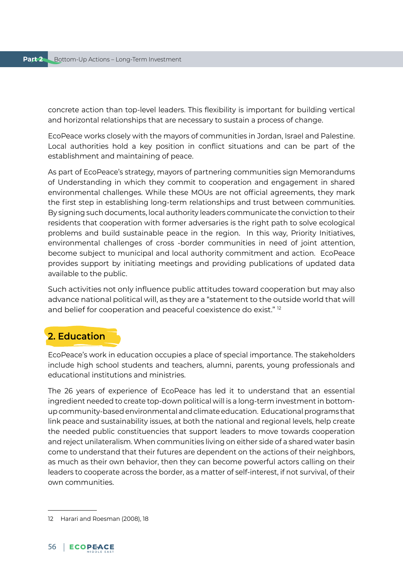concrete action than top-level leaders. This flexibility is important for building vertical and horizontal relationships that are necessary to sustain a process of change.

EcoPeace works closely with the mayors of communities in Jordan, Israel and Palestine. Local authorities hold a key position in conflict situations and can be part of the establishment and maintaining of peace.

As part of EcoPeace's strategy, mayors of partnering communities sign Memorandums of Understanding in which they commit to cooperation and engagement in shared environmental challenges. While these MOUs are not official agreements, they mark the first step in establishing long-term relationships and trust between communities. By signing such documents, local authority leaders communicate the conviction to their residents that cooperation with former adversaries is the right path to solve ecological problems and build sustainable peace in the region. In this way, Priority Initiatives, environmental challenges of cross -border communities in need of joint attention, become subject to municipal and local authority commitment and action. EcoPeace provides support by initiating meetings and providing publications of updated data available to the public.

Such activities not only influence public attitudes toward cooperation but may also advance national political will, as they are a "statement to the outside world that will and belief for cooperation and peaceful coexistence do exist."<sup>12</sup>

# **2. Education**

EcoPeace's work in education occupies a place of special importance. The stakeholders include high school students and teachers, alumni, parents, young professionals and educational institutions and ministries.

The 26 years of experience of EcoPeace has led it to understand that an essential ingredient needed to create top-down political will is a long-term investment in bottomup community-based environmental and climate education. Educational programs that link peace and sustainability issues, at both the national and regional levels, help create the needed public constituencies that support leaders to move towards cooperation and reject unilateralism. When communities living on either side of a shared water basin come to understand that their futures are dependent on the actions of their neighbors, as much as their own behavior, then they can become powerful actors calling on their leaders to cooperate across the border, as a matter of self-interest, if not survival, of their own communities.

<sup>12</sup> Harari and Roesman (2008), 18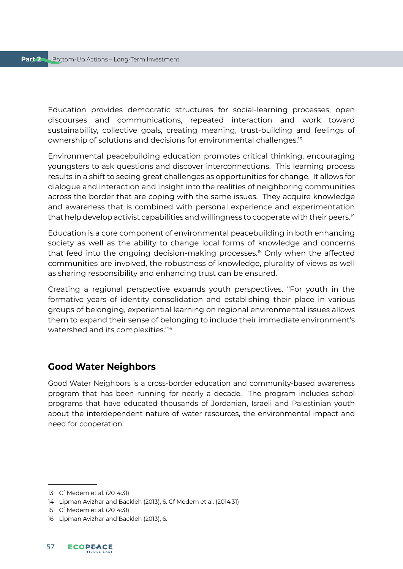Education provides democratic structures for social-learning processes, open discourses and communications, repeated interaction and work toward sustainability, collective goals, creating meaning, trust-building and feelings of ownership of solutions and decisions for environmental challenges.13

Environmental peacebuilding education promotes critical thinking, encouraging youngsters to ask questions and discover interconnections. This learning process results in a shift to seeing great challenges as opportunities for change. It allows for dialogue and interaction and insight into the realities of neighboring communities across the border that are coping with the same issues. They acquire knowledge and awareness that is combined with personal experience and experimentation that help develop activist capabilities and willingness to cooperate with their peers.14

Education is a core component of environmental peacebuilding in both enhancing society as well as the ability to change local forms of knowledge and concerns that feed into the ongoing decision-making processes.15 Only when the affected communities are involved, the robustness of knowledge, plurality of views as well as sharing responsibility and enhancing trust can be ensured.

Creating a regional perspective expands youth perspectives. "For youth in the formative years of identity consolidation and establishing their place in various groups of belonging, experiential learning on regional environmental issues allows them to expand their sense of belonging to include their immediate environment's watershed and its complexities."16

# **Good Water Neighbors**

Good Water Neighbors is a cross-border education and community-based awareness program that has been running for nearly a decade. The program includes school programs that have educated thousands of Jordanian, Israeli and Palestinian youth about the interdependent nature of water resources, the environmental impact and need for cooperation.

<sup>13</sup> Cf Medem et al. (2014:31)

<sup>14</sup> Lipman Avizhar and Backleh (2013), 6. Cf Medem et al. (2014:31)

<sup>15</sup> Cf Medem et al. (2014:31)

<sup>16</sup> Lipman Avizhar and Backleh (2013), 6.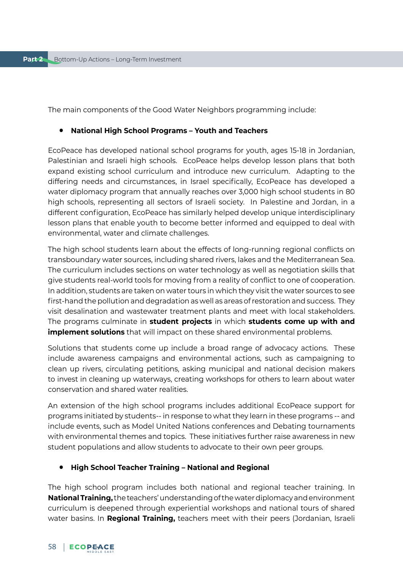The main components of the Good Water Neighbors programming include:

#### ● **National High School Programs – Youth and Teachers**

EcoPeace has developed national school programs for youth, ages 15-18 in Jordanian, Palestinian and Israeli high schools. EcoPeace helps develop lesson plans that both expand existing school curriculum and introduce new curriculum. Adapting to the differing needs and circumstances, in Israel specifically, EcoPeace has developed a water diplomacy program that annually reaches over 3,000 high school students in 80 high schools, representing all sectors of Israeli society. In Palestine and Jordan, in a different configuration, EcoPeace has similarly helped develop unique interdisciplinary lesson plans that enable youth to become better informed and equipped to deal with environmental, water and climate challenges.

The high school students learn about the effects of long-running regional conflicts on transboundary water sources, including shared rivers, lakes and the Mediterranean Sea. The curriculum includes sections on water technology as well as negotiation skills that give students real-world tools for moving from a reality of conflict to one of cooperation. In addition, students are taken on water tours in which they visit the water sources to see first-hand the pollution and degradation as well as areas of restoration and success. They visit desalination and wastewater treatment plants and meet with local stakeholders. The programs culminate in **student projects** in which **students come up with and implement solutions** that will impact on these shared environmental problems.

Solutions that students come up include a broad range of advocacy actions. These include awareness campaigns and environmental actions, such as campaigning to clean up rivers, circulating petitions, asking municipal and national decision makers to invest in cleaning up waterways, creating workshops for others to learn about water conservation and shared water realities.

An extension of the high school programs includes additional EcoPeace support for programs initiated by students-- in response to what they learn in these programs -- and include events, such as Model United Nations conferences and Debating tournaments with environmental themes and topics. These initiatives further raise awareness in new student populations and allow students to advocate to their own peer groups.

## ● **High School Teacher Training – National and Regional**

The high school program includes both national and regional teacher training. In **National Training,** the teachers' understanding of the water diplomacy and environment curriculum is deepened through experiential workshops and national tours of shared water basins. In **Regional Training,** teachers meet with their peers (Jordanian, Israeli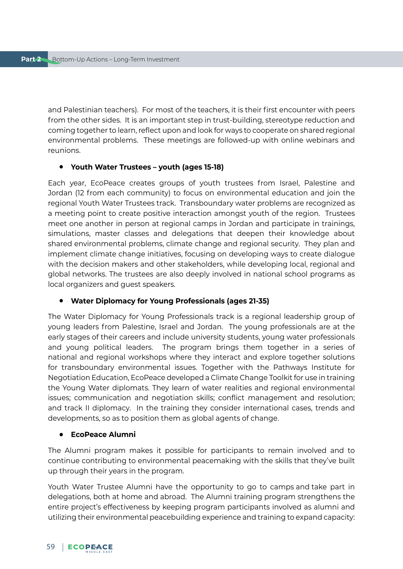and Palestinian teachers). For most of the teachers, it is their first encounter with peers from the other sides. It is an important step in trust-building, stereotype reduction and coming together to learn, reflect upon and look for ways to cooperate on shared regional environmental problems. These meetings are followed-up with online webinars and reunions.

### ● **Youth Water Trustees – youth (ages 15-18)**

Each year, EcoPeace creates groups of youth trustees from Israel, Palestine and Jordan (12 from each community) to focus on environmental education and join the regional Youth Water Trustees track. Transboundary water problems are recognized as a meeting point to create positive interaction amongst youth of the region. Trustees meet one another in person at regional camps in Jordan and participate in trainings, simulations, master classes and delegations that deepen their knowledge about shared environmental problems, climate change and regional security. They plan and implement climate change initiatives, focusing on developing ways to create dialogue with the decision makers and other stakeholders, while developing local, regional and global networks. The trustees are also deeply involved in national school programs as local organizers and guest speakers.

## ● **Water Diplomacy for Young Professionals (ages 21-35)**

The Water Diplomacy for Young Professionals track is a regional leadership group of young leaders from Palestine, Israel and Jordan. The young professionals are at the early stages of their careers and include university students, young water professionals and young political leaders. The program brings them together in a series of national and regional workshops where they interact and explore together solutions for transboundary environmental issues. Together with the Pathways Institute for Negotiation Education, EcoPeace developed a Climate Change Toolkit for use in training the Young Water diplomats. They learn of water realities and regional environmental issues; communication and negotiation skills; conflict management and resolution; and track II diplomacy. In the training they consider international cases, trends and developments, so as to position them as global agents of change.

#### ● **EcoPeace Alumni**

The Alumni program makes it possible for participants to remain involved and to continue contributing to environmental peacemaking with the skills that they've built up through their years in the program.

Youth Water Trustee Alumni have the opportunity to go to camps and take part in delegations, both at home and abroad. The Alumni training program strengthens the entire project's effectiveness by keeping program participants involved as alumni and utilizing their environmental peacebuilding experience and training to expand capacity: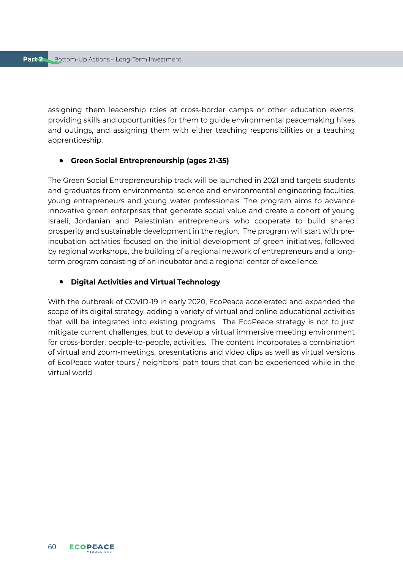assigning them leadership roles at cross-border camps or other education events, providing skills and opportunities for them to guide environmental peacemaking hikes and outings, and assigning them with either teaching responsibilities or a teaching apprenticeship.

### ● **Green Social Entrepreneurship (ages 21-35)**

The Green Social Entrepreneurship track will be launched in 2021 and targets students and graduates from environmental science and environmental engineering faculties, young entrepreneurs and young water professionals. The program aims to advance innovative green enterprises that generate social value and create a cohort of young Israeli, Jordanian and Palestinian entrepreneurs who cooperate to build shared prosperity and sustainable development in the region. The program will start with preincubation activities focused on the initial development of green initiatives, followed by regional workshops, the building of a regional network of entrepreneurs and a longterm program consisting of an incubator and a regional center of excellence.

### ● **Digital Activities and Virtual Technology**

With the outbreak of COVID-19 in early 2020, EcoPeace accelerated and expanded the scope of its digital strategy, adding a variety of virtual and online educational activities that will be integrated into existing programs. The EcoPeace strategy is not to just mitigate current challenges, but to develop a virtual immersive meeting environment for cross-border, people-to-people, activities. The content incorporates a combination of virtual and zoom-meetings, presentations and video clips as well as virtual versions of EcoPeace water tours / neighbors' path tours that can be experienced while in the virtual world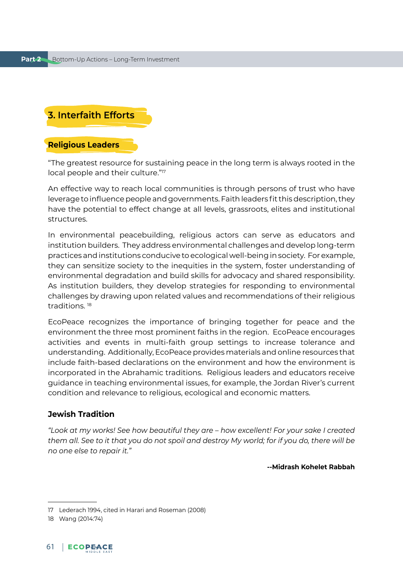# **3. Interfaith Efforts**

# **Religious Leaders**

"The greatest resource for sustaining peace in the long term is always rooted in the local people and their culture."<sup>17</sup>

An effective way to reach local communities is through persons of trust who have leverage to influence people and governments. Faith leaders fit this description, they have the potential to effect change at all levels, grassroots, elites and institutional structures.

In environmental peacebuilding, religious actors can serve as educators and institution builders. They address environmental challenges and develop long-term practices and institutions conducive to ecological well-being in society. For example, they can sensitize society to the inequities in the system, foster understanding of environmental degradation and build skills for advocacy and shared responsibility. As institution builders, they develop strategies for responding to environmental challenges by drawing upon related values and recommendations of their religious traditions<sup>18</sup>

EcoPeace recognizes the importance of bringing together for peace and the environment the three most prominent faiths in the region. EcoPeace encourages activities and events in multi-faith group settings to increase tolerance and understanding. Additionally, EcoPeace provides materials and online resources that include faith-based declarations on the environment and how the environment is incorporated in the Abrahamic traditions. Religious leaders and educators receive guidance in teaching environmental issues, for example, the Jordan River's current condition and relevance to religious, ecological and economic matters.

# **Jewish Tradition**

*"Look at my works! See how beautiful they are – how excellent! For your sake I created them all. See to it that you do not spoil and destroy My world; for if you do, there will be no one else to repair it."* 

**--Midrash Kohelet Rabbah**

<sup>17</sup> Lederach 1994, cited in Harari and Roseman (2008)

<sup>18</sup> Wang (2014:74)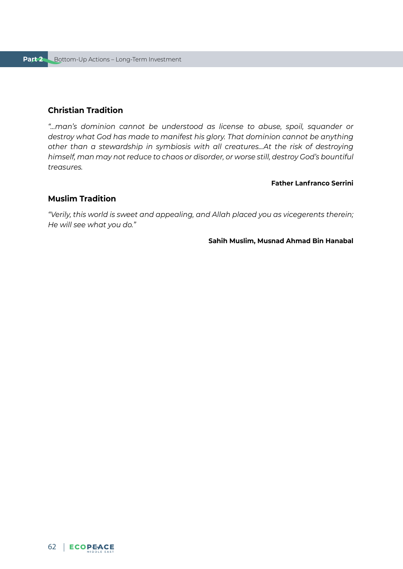# **Christian Tradition**

*"…man's dominion cannot be understood as license to abuse, spoil, squander or destroy what God has made to manifest his glory. That dominion cannot be anything other than a stewardship in symbiosis with all creatures...At the risk of destroying himself, man may not reduce to chaos or disorder, or worse still, destroy God's bountiful treasures.* 

#### **Father Lanfranco Serrini**

#### **Muslim Tradition**

*"Verily, this world is sweet and appealing, and Allah placed you as vicegerents therein; He will see what you do."*

#### **Sahih Muslim, Musnad Ahmad Bin Hanabal**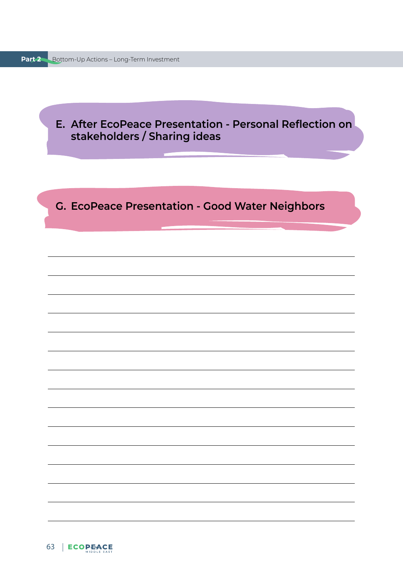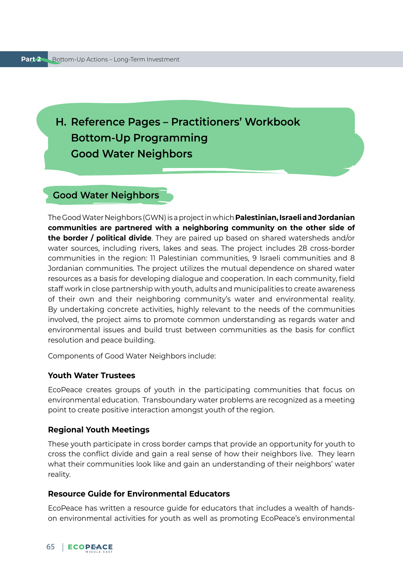# **H. Reference Pages – Practitioners' Workbook Bottom-Up Programming Good Water Neighbors**

# **Good Water Neighbors**

The Good Water Neighbors (GWN) is a project in which **Palestinian, Israeli and Jordanian communities are partnered with a neighboring community on the other side of the border / political divide**. They are paired up based on shared watersheds and/or water sources, including rivers, lakes and seas. The project includes 28 cross-border communities in the region: 11 Palestinian communities, 9 Israeli communities and 8 Jordanian communities. The project utilizes the mutual dependence on shared water resources as a basis for developing dialogue and cooperation. In each community, field staff work in close partnership with youth, adults and municipalities to create awareness of their own and their neighboring community's water and environmental reality. By undertaking concrete activities, highly relevant to the needs of the communities involved, the project aims to promote common understanding as regards water and environmental issues and build trust between communities as the basis for conflict resolution and peace building.

Components of Good Water Neighbors include:

#### **Youth Water Trustees**

EcoPeace creates groups of youth in the participating communities that focus on environmental education. Transboundary water problems are recognized as a meeting point to create positive interaction amongst youth of the region.

#### **Regional Youth Meetings**

These youth participate in cross border camps that provide an opportunity for youth to cross the conflict divide and gain a real sense of how their neighbors live. They learn what their communities look like and gain an understanding of their neighbors' water reality.

#### **Resource Guide for Environmental Educators**

EcoPeace has written a resource guide for educators that includes a wealth of handson environmental activities for youth as well as promoting EcoPeace's environmental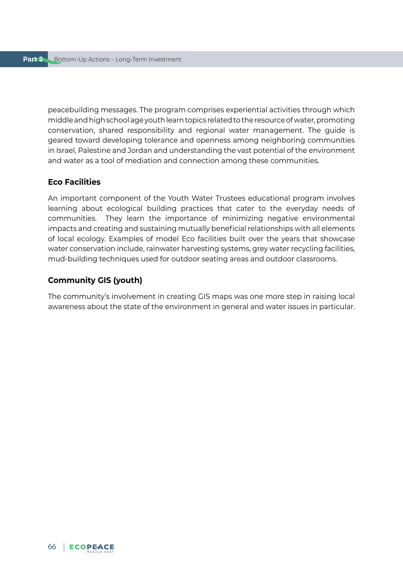peacebuilding messages. The program comprises experiential activities through which middle and high school age youth learn topics related to the resource of water, promoting conservation, shared responsibility and regional water management. The guide is geared toward developing tolerance and openness among neighboring communities in Israel, Palestine and Jordan and understanding the vast potential of the environment and water as a tool of mediation and connection among these communities.

#### **Eco Facilities**

An important component of the Youth Water Trustees educational program involves learning about ecological building practices that cater to the everyday needs of communities. They learn the importance of minimizing negative environmental impacts and creating and sustaining mutually beneficial relationships with all elements of local ecology. Examples of model Eco facilities built over the years that showcase water conservation include, rainwater harvesting systems, grey water recycling facilities, mud-building techniques used for outdoor seating areas and outdoor classrooms.

## **Community GIS (youth)**

The community's involvement in creating GIS maps was one more step in raising local awareness about the state of the environment in general and water issues in particular.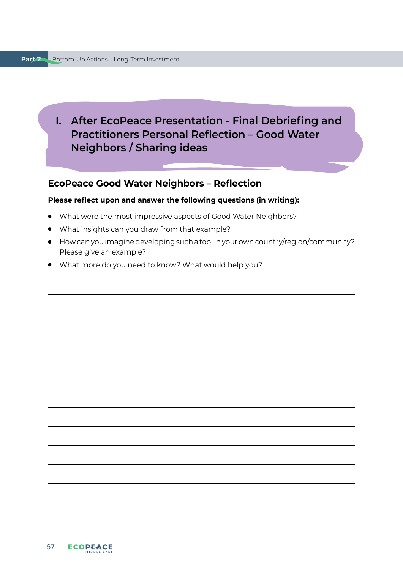

# **EcoPeace Good Water Neighbors – Reflection**

#### **Please reflect upon and answer the following questions (in writing):**

- What were the most impressive aspects of Good Water Neighbors?
- What insights can you draw from that example?
- How can you imagine developing such a tool in your own country/region/community? Please give an example?
- What more do you need to know? What would help you?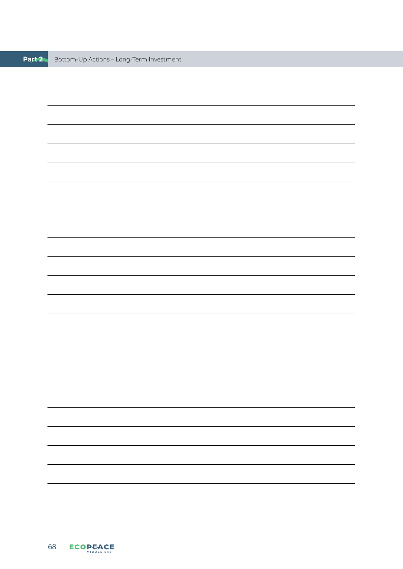| -                        |
|--------------------------|
|                          |
|                          |
|                          |
|                          |
|                          |
|                          |
|                          |
|                          |
| $\overline{\phantom{0}}$ |
|                          |
| Ξ.                       |
|                          |
|                          |
| $\overline{\phantom{0}}$ |
|                          |
|                          |
|                          |
|                          |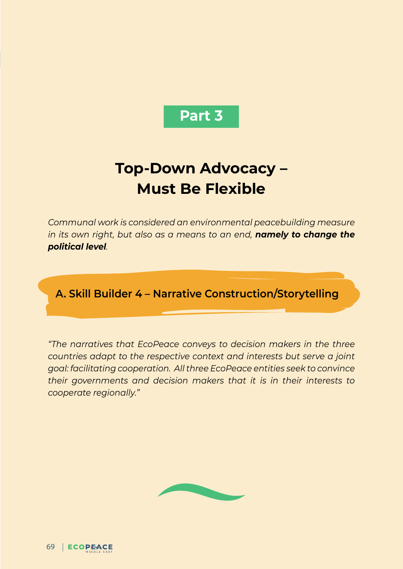# **Part 3**

# **Top-Down Advocacy – Must Be Flexible**

*Communal work is considered an environmental peacebuilding measure in its own right, but also as a means to an end, namely to change the political level.*

**A. Skill Builder 4 – Narrative Construction/Storytelling**

*"The narratives that EcoPeace conveys to decision makers in the three countries adapt to the respective context and interests but serve a joint goal: facilitating cooperation. All three EcoPeace entities seek to convince their governments and decision makers that it is in their interests to cooperate regionally."* 

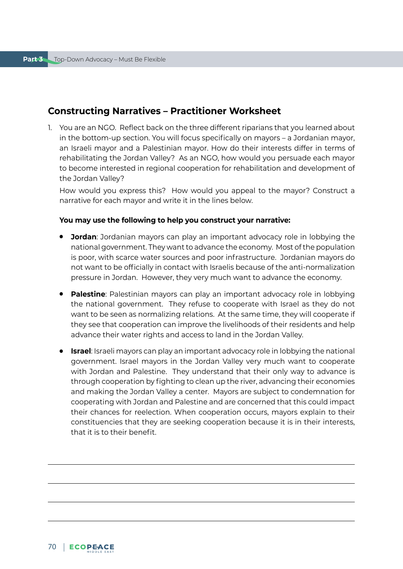# **Constructing Narratives – Practitioner Worksheet**

1. You are an NGO. Reflect back on the three different riparians that you learned about in the bottom-up section. You will focus specifically on mayors – a Jordanian mayor, an Israeli mayor and a Palestinian mayor. How do their interests differ in terms of rehabilitating the Jordan Valley? As an NGO, how would you persuade each mayor to become interested in regional cooperation for rehabilitation and development of the Jordan Valley?

How would you express this? How would you appeal to the mayor? Construct a narrative for each mayor and write it in the lines below.

#### **You may use the following to help you construct your narrative:**

- **Jordan**: Jordanian mayors can play an important advocacy role in lobbying the national government. They want to advance the economy. Most of the population is poor, with scarce water sources and poor infrastructure. Jordanian mayors do not want to be officially in contact with Israelis because of the anti-normalization pressure in Jordan. However, they very much want to advance the economy.
- **Palestine**: Palestinian mayors can play an important advocacy role in lobbying the national government. They refuse to cooperate with Israel as they do not want to be seen as normalizing relations. At the same time, they will cooperate if they see that cooperation can improve the livelihoods of their residents and help advance their water rights and access to land in the Jordan Valley.
- **Israel**: Israeli mayors can play an important advocacy role in lobbying the national government. Israel mayors in the Jordan Valley very much want to cooperate with Jordan and Palestine. They understand that their only way to advance is through cooperation by fighting to clean up the river, advancing their economies and making the Jordan Valley a center. Mayors are subject to condemnation for cooperating with Jordan and Palestine and are concerned that this could impact their chances for reelection. When cooperation occurs, mayors explain to their constituencies that they are seeking cooperation because it is in their interests, that it is to their benefit.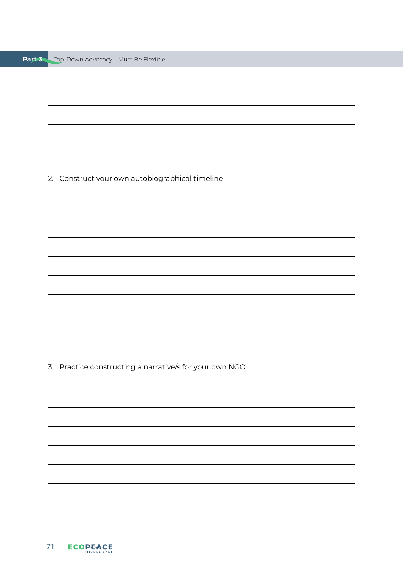| ٠ | a1 |  |  |
|---|----|--|--|
|   |    |  |  |
|   |    |  |  |

2. Construct your own autobiographical timeline \_\_\_\_\_\_\_\_\_\_\_\_\_\_\_\_\_\_\_\_\_\_\_\_\_\_\_\_\_\_\_\_

3. Practice constructing a narrative/s for your own NGO

<u> 1989 - Johann Stoff, amerikansk politiker (\* 1989)</u>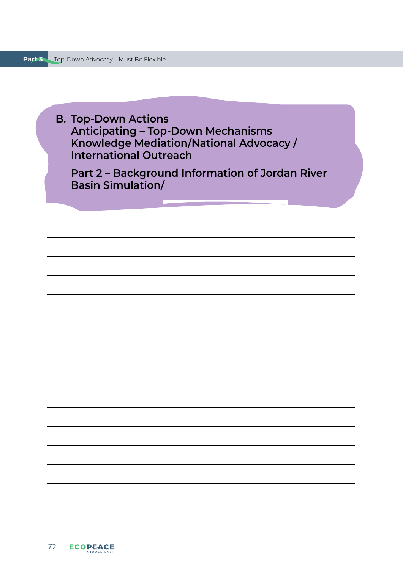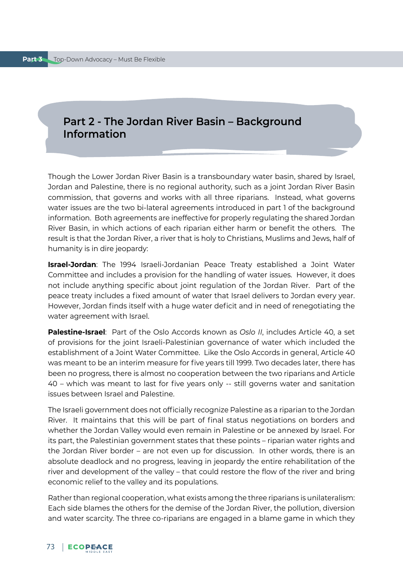# **Part 2 - The Jordan River Basin – Background Information**

Though the Lower Jordan River Basin is a transboundary water basin, shared by Israel, Jordan and Palestine, there is no regional authority, such as a joint Jordan River Basin commission, that governs and works with all three riparians. Instead, what governs water issues are the two bi-lateral agreements introduced in part 1 of the background information. Both agreements are ineffective for properly regulating the shared Jordan River Basin, in which actions of each riparian either harm or benefit the others. The result is that the Jordan River, a river that is holy to Christians, Muslims and Jews, half of humanity is in dire jeopardy:

**Israel-Jordan**: The 1994 Israeli-Jordanian Peace Treaty established a Joint Water Committee and includes a provision for the handling of water issues. However, it does not include anything specific about joint regulation of the Jordan River. Part of the peace treaty includes a fixed amount of water that Israel delivers to Jordan every year. However, Jordan finds itself with a huge water deficit and in need of renegotiating the water agreement with Israel.

**Palestine-Israel**: Part of the Oslo Accords known as *Oslo II*, includes Article 40, a set of provisions for the joint Israeli-Palestinian governance of water which included the establishment of a Joint Water Committee. Like the Oslo Accords in general, Article 40 was meant to be an interim measure for five years till 1999. Two decades later, there has been no progress, there is almost no cooperation between the two riparians and Article 40 – which was meant to last for five years only -- still governs water and sanitation issues between Israel and Palestine.

The Israeli government does not officially recognize Palestine as a riparian to the Jordan River. It maintains that this will be part of final status negotiations on borders and whether the Jordan Valley would even remain in Palestine or be annexed by Israel. For its part, the Palestinian government states that these points – riparian water rights and the Jordan River border – are not even up for discussion. In other words, there is an absolute deadlock and no progress, leaving in jeopardy the entire rehabilitation of the river and development of the valley – that could restore the flow of the river and bring economic relief to the valley and its populations.

Rather than regional cooperation, what exists among the three riparians is unilateralism: Each side blames the others for the demise of the Jordan River, the pollution, diversion and water scarcity. The three co-riparians are engaged in a blame game in which they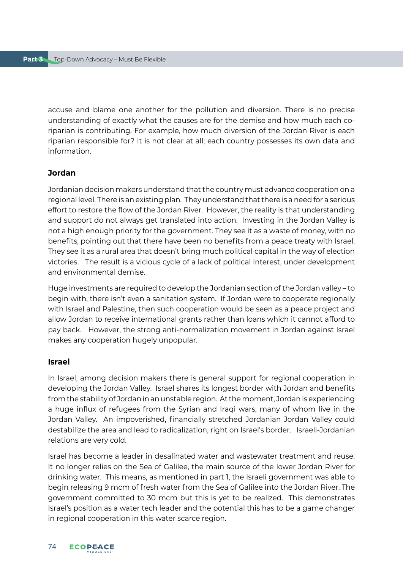accuse and blame one another for the pollution and diversion. There is no precise understanding of exactly what the causes are for the demise and how much each coriparian is contributing. For example, how much diversion of the Jordan River is each riparian responsible for? It is not clear at all; each country possesses its own data and information.

#### **Jordan**

Jordanian decision makers understand that the country must advance cooperation on a regional level. There is an existing plan. They understand that there is a need for a serious effort to restore the flow of the Jordan River. However, the reality is that understanding and support do not always get translated into action. Investing in the Jordan Valley is not a high enough priority for the government. They see it as a waste of money, with no benefits, pointing out that there have been no benefits from a peace treaty with Israel. They see it as a rural area that doesn't bring much political capital in the way of election victories. The result is a vicious cycle of a lack of political interest, under development and environmental demise.

Huge investments are required to develop the Jordanian section of the Jordan valley – to begin with, there isn't even a sanitation system. If Jordan were to cooperate regionally with Israel and Palestine, then such cooperation would be seen as a peace project and allow Jordan to receive international grants rather than loans which it cannot afford to pay back. However, the strong anti-normalization movement in Jordan against Israel makes any cooperation hugely unpopular.

#### **Israel**

In Israel, among decision makers there is general support for regional cooperation in developing the Jordan Valley. Israel shares its longest border with Jordan and benefits from the stability of Jordan in an unstable region. At the moment, Jordan is experiencing a huge influx of refugees from the Syrian and Iraqi wars, many of whom live in the Jordan Valley. An impoverished, financially stretched Jordanian Jordan Valley could destabilize the area and lead to radicalization, right on Israel's border. Israeli-Jordanian relations are very cold.

Israel has become a leader in desalinated water and wastewater treatment and reuse. It no longer relies on the Sea of Galilee, the main source of the lower Jordan River for drinking water. This means, as mentioned in part 1, the Israeli government was able to begin releasing 9 mcm of fresh water from the Sea of Galilee into the Jordan River. The government committed to 30 mcm but this is yet to be realized. This demonstrates Israel's position as a water tech leader and the potential this has to be a game changer in regional cooperation in this water scarce region.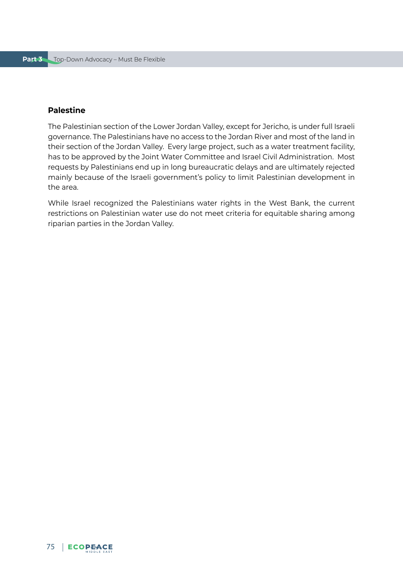## **Palestine**

The Palestinian section of the Lower Jordan Valley, except for Jericho, is under full Israeli governance. The Palestinians have no access to the Jordan River and most of the land in their section of the Jordan Valley. Every large project, such as a water treatment facility, has to be approved by the Joint Water Committee and Israel Civil Administration. Most requests by Palestinians end up in long bureaucratic delays and are ultimately rejected mainly because of the Israeli government's policy to limit Palestinian development in the area.

While Israel recognized the Palestinians water rights in the West Bank, the current restrictions on Palestinian water use do not meet criteria for equitable sharing among riparian parties in the Jordan Valley.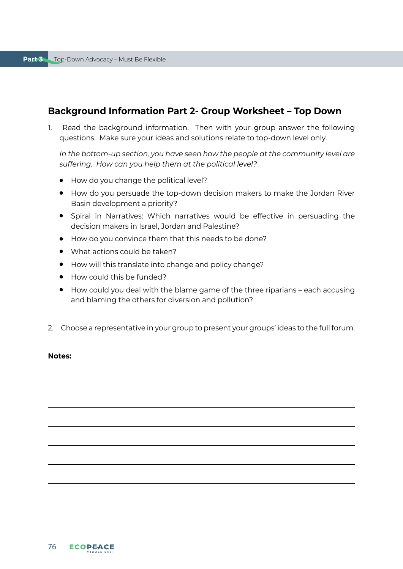# **Background Information Part 2- Group Worksheet – Top Down**

1. Read the background information. Then with your group answer the following questions. Make sure your ideas and solutions relate to top-down level only.

*In the bottom-up section, you have seen how the people at the community level are suffering. How can you help them at the political level?*

- How do you change the political level?
- How do you persuade the top-down decision makers to make the Jordan River Basin development a priority?
- Spiral in Narratives: Which narratives would be effective in persuading the decision makers in Israel, Jordan and Palestine?
- How do you convince them that this needs to be done?
- What actions could be taken?
- How will this translate into change and policy change?
- How could this be funded?
- How could you deal with the blame game of the three riparians each accusing and blaming the others for diversion and pollution?
- 2. Choose a representative in your group to present your groups' ideas to the full forum.

#### **Notes:**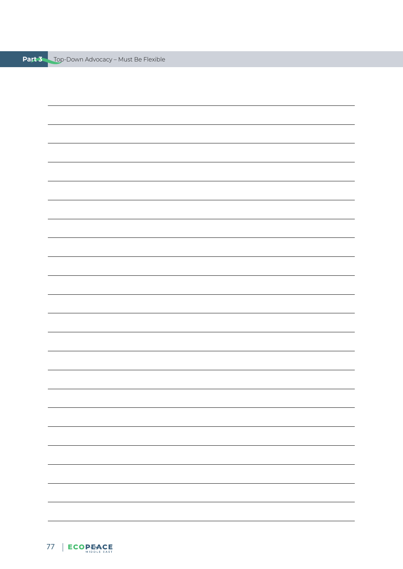| r |   |  |  |
|---|---|--|--|
|   | ۰ |  |  |
|   |   |  |  |
|   |   |  |  |

| - |
|---|
|   |
|   |
|   |
|   |
| - |
|   |
|   |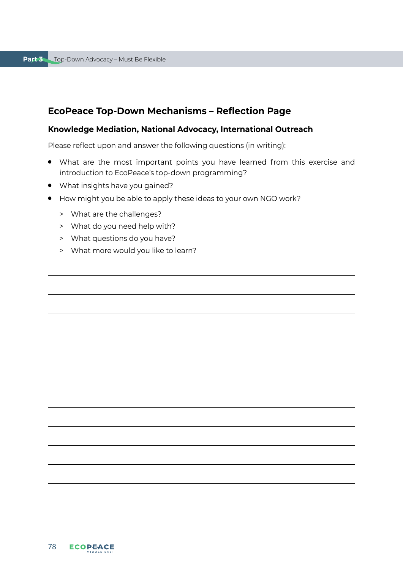# **EcoPeace Top-Down Mechanisms – Reflection Page**

## **Knowledge Mediation, National Advocacy, International Outreach**

Please reflect upon and answer the following questions (in writing):

- What are the most important points you have learned from this exercise and introduction to EcoPeace's top-down programming?
- What insights have you gained?
- How might you be able to apply these ideas to your own NGO work?
	- > What are the challenges?
	- > What do you need help with?
	- > What questions do you have?
	- > What more would you like to learn?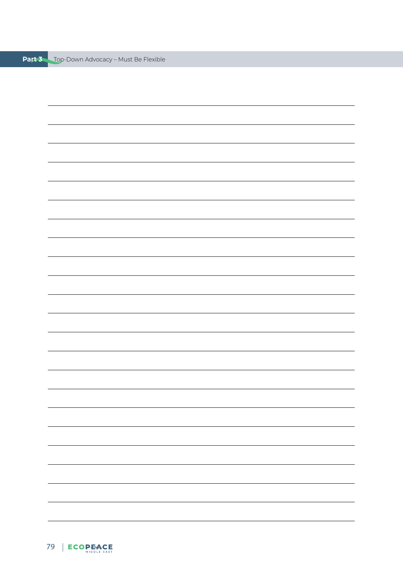| r |   |  |  |
|---|---|--|--|
|   | ۰ |  |  |
|   |   |  |  |
|   |   |  |  |

| -  |
|----|
|    |
|    |
| -  |
|    |
| Ξ. |
|    |
|    |
|    |
|    |
|    |
| -  |
|    |
|    |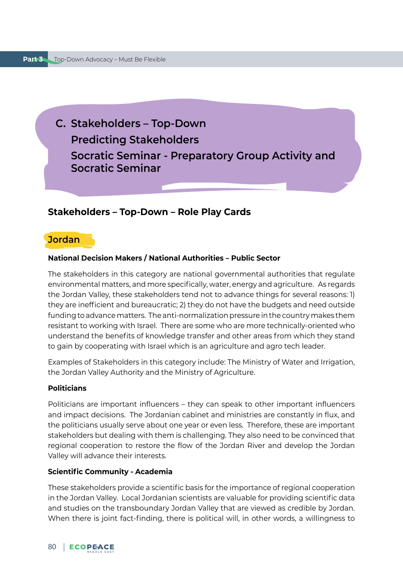**C. Stakeholders – Top-Down Predicting Stakeholders Socratic Seminar - Preparatory Group Activity and Socratic Seminar**

# **Stakeholders – Top-Down – Role Play Cards**

## **Jordan**

#### **National Decision Makers / National Authorities – Public Sector**

The stakeholders in this category are national governmental authorities that regulate environmental matters, and more specifically, water, energy and agriculture. As regards the Jordan Valley, these stakeholders tend not to advance things for several reasons: 1) they are inefficient and bureaucratic; 2) they do not have the budgets and need outside funding to advance matters. The anti-normalization pressure in the country makes them resistant to working with Israel. There are some who are more technically-oriented who understand the benefits of knowledge transfer and other areas from which they stand to gain by cooperating with Israel which is an agriculture and agro tech leader.

Examples of Stakeholders in this category include: The Ministry of Water and Irrigation, the Jordan Valley Authority and the Ministry of Agriculture.

#### **Politicians**

Politicians are important influencers – they can speak to other important influencers and impact decisions. The Jordanian cabinet and ministries are constantly in flux, and the politicians usually serve about one year or even less. Therefore, these are important stakeholders but dealing with them is challenging. They also need to be convinced that regional cooperation to restore the flow of the Jordan River and develop the Jordan Valley will advance their interests.

#### **Scientific Community - Academia**

These stakeholders provide a scientific basis for the importance of regional cooperation in the Jordan Valley. Local Jordanian scientists are valuable for providing scientific data and studies on the transboundary Jordan Valley that are viewed as credible by Jordan. When there is joint fact-finding, there is political will, in other words, a willingness to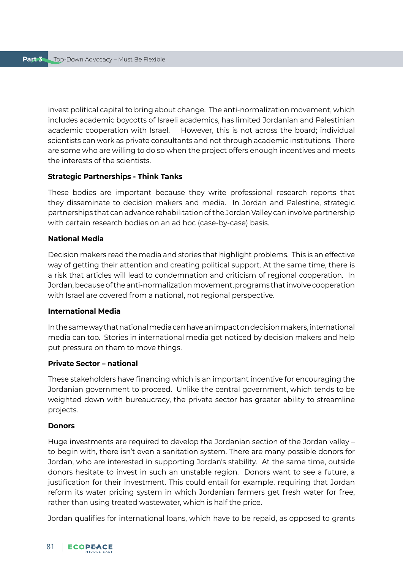invest political capital to bring about change. The anti-normalization movement, which includes academic boycotts of Israeli academics, has limited Jordanian and Palestinian academic cooperation with Israel. However, this is not across the board; individual scientists can work as private consultants and not through academic institutions. There are some who are willing to do so when the project offers enough incentives and meets the interests of the scientists.

### **Strategic Partnerships - Think Tanks**

These bodies are important because they write professional research reports that they disseminate to decision makers and media. In Jordan and Palestine, strategic partnerships that can advance rehabilitation of the Jordan Valley can involve partnership with certain research bodies on an ad hoc (case-by-case) basis.

#### **National Media**

Decision makers read the media and stories that highlight problems. This is an effective way of getting their attention and creating political support. At the same time, there is a risk that articles will lead to condemnation and criticism of regional cooperation. In Jordan, because of the anti-normalization movement, programs that involve cooperation with Israel are covered from a national, not regional perspective.

#### **International Media**

In the same way that national media can have an impact on decision makers, international media can too. Stories in international media get noticed by decision makers and help put pressure on them to move things.

#### **Private Sector – national**

These stakeholders have financing which is an important incentive for encouraging the Jordanian government to proceed. Unlike the central government, which tends to be weighted down with bureaucracy, the private sector has greater ability to streamline projects.

#### **Donors**

Huge investments are required to develop the Jordanian section of the Jordan valley – to begin with, there isn't even a sanitation system. There are many possible donors for Jordan, who are interested in supporting Jordan's stability. At the same time, outside donors hesitate to invest in such an unstable region. Donors want to see a future, a justification for their investment. This could entail for example, requiring that Jordan reform its water pricing system in which Jordanian farmers get fresh water for free, rather than using treated wastewater, which is half the price.

Jordan qualifies for international loans, which have to be repaid, as opposed to grants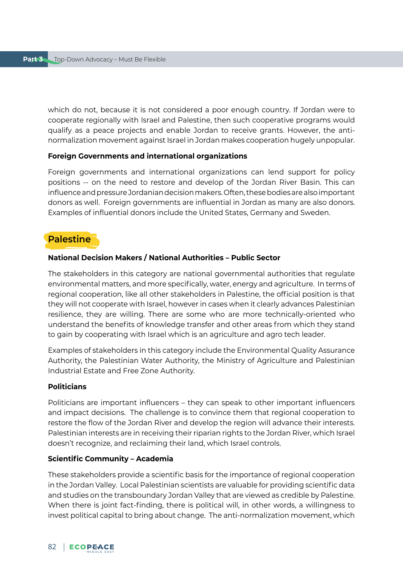which do not, because it is not considered a poor enough country. If Jordan were to cooperate regionally with Israel and Palestine, then such cooperative programs would qualify as a peace projects and enable Jordan to receive grants. However, the antinormalization movement against Israel in Jordan makes cooperation hugely unpopular.

#### **Foreign Governments and international organizations**

Foreign governments and international organizations can lend support for policy positions -- on the need to restore and develop of the Jordan River Basin. This can influence and pressure Jordanian decision makers. Often, these bodies are also important donors as well. Foreign governments are influential in Jordan as many are also donors. Examples of influential donors include the United States, Germany and Sweden.

# **Palestine**

### **National Decision Makers / National Authorities – Public Sector**

The stakeholders in this category are national governmental authorities that regulate environmental matters, and more specifically, water, energy and agriculture. In terms of regional cooperation, like all other stakeholders in Palestine, the official position is that they will not cooperate with Israel, however in cases when it clearly advances Palestinian resilience, they are willing. There are some who are more technically-oriented who understand the benefits of knowledge transfer and other areas from which they stand to gain by cooperating with Israel which is an agriculture and agro tech leader.

Examples of stakeholders in this category include the Environmental Quality Assurance Authority, the Palestinian Water Authority, the Ministry of Agriculture and Palestinian Industrial Estate and Free Zone Authority.

#### **Politicians**

Politicians are important influencers – they can speak to other important influencers and impact decisions. The challenge is to convince them that regional cooperation to restore the flow of the Jordan River and develop the region will advance their interests. Palestinian interests are in receiving their riparian rights to the Jordan River, which Israel doesn't recognize, and reclaiming their land, which Israel controls.

#### **Scientific Community – Academia**

These stakeholders provide a scientific basis for the importance of regional cooperation in the Jordan Valley. Local Palestinian scientists are valuable for providing scientific data and studies on the transboundary Jordan Valley that are viewed as credible by Palestine. When there is joint fact-finding, there is political will, in other words, a willingness to invest political capital to bring about change. The anti-normalization movement, which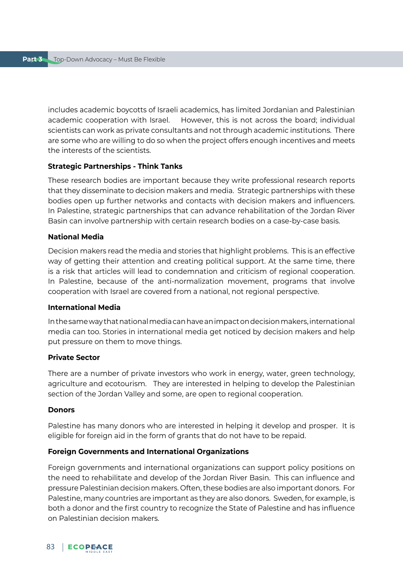includes academic boycotts of Israeli academics, has limited Jordanian and Palestinian academic cooperation with Israel. However, this is not across the board; individual scientists can work as private consultants and not through academic institutions. There are some who are willing to do so when the project offers enough incentives and meets the interests of the scientists.

### **Strategic Partnerships - Think Tanks**

These research bodies are important because they write professional research reports that they disseminate to decision makers and media. Strategic partnerships with these bodies open up further networks and contacts with decision makers and influencers. In Palestine, strategic partnerships that can advance rehabilitation of the Jordan River Basin can involve partnership with certain research bodies on a case-by-case basis.

#### **National Media**

Decision makers read the media and stories that highlight problems. This is an effective way of getting their attention and creating political support. At the same time, there is a risk that articles will lead to condemnation and criticism of regional cooperation. In Palestine, because of the anti-normalization movement, programs that involve cooperation with Israel are covered from a national, not regional perspective.

#### **International Media**

In the same way that national media can have an impact on decision makers, international media can too. Stories in international media get noticed by decision makers and help put pressure on them to move things.

#### **Private Sector**

There are a number of private investors who work in energy, water, green technology, agriculture and ecotourism. They are interested in helping to develop the Palestinian section of the Jordan Valley and some, are open to regional cooperation.

#### **Donors**

Palestine has many donors who are interested in helping it develop and prosper. It is eligible for foreign aid in the form of grants that do not have to be repaid.

#### **Foreign Governments and International Organizations**

Foreign governments and international organizations can support policy positions on the need to rehabilitate and develop of the Jordan River Basin. This can influence and pressure Palestinian decision makers. Often, these bodies are also important donors. For Palestine, many countries are important as they are also donors. Sweden, for example, is both a donor and the first country to recognize the State of Palestine and has influence on Palestinian decision makers.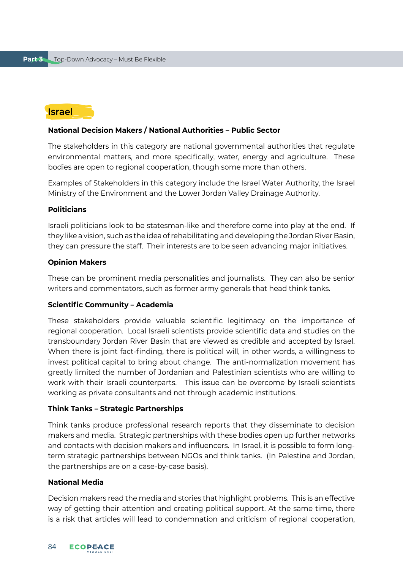# **Israel**

#### **National Decision Makers / National Authorities – Public Sector**

The stakeholders in this category are national governmental authorities that regulate environmental matters, and more specifically, water, energy and agriculture. These bodies are open to regional cooperation, though some more than others.

Examples of Stakeholders in this category include the Israel Water Authority, the Israel Ministry of the Environment and the Lower Jordan Valley Drainage Authority.

#### **Politicians**

Israeli politicians look to be statesman-like and therefore come into play at the end. If they like a vision, such as the idea of rehabilitating and developing the Jordan River Basin, they can pressure the staff. Their interests are to be seen advancing major initiatives.

#### **Opinion Makers**

These can be prominent media personalities and journalists. They can also be senior writers and commentators, such as former army generals that head think tanks.

#### **Scientific Community – Academia**

These stakeholders provide valuable scientific legitimacy on the importance of regional cooperation. Local Israeli scientists provide scientific data and studies on the transboundary Jordan River Basin that are viewed as credible and accepted by Israel. When there is joint fact-finding, there is political will, in other words, a willingness to invest political capital to bring about change. The anti-normalization movement has greatly limited the number of Jordanian and Palestinian scientists who are willing to work with their Israeli counterparts. This issue can be overcome by Israeli scientists working as private consultants and not through academic institutions.

#### **Think Tanks – Strategic Partnerships**

Think tanks produce professional research reports that they disseminate to decision makers and media. Strategic partnerships with these bodies open up further networks and contacts with decision makers and influencers. In Israel, it is possible to form longterm strategic partnerships between NGOs and think tanks. (In Palestine and Jordan, the partnerships are on a case-by-case basis).

#### **National Media**

Decision makers read the media and stories that highlight problems. This is an effective way of getting their attention and creating political support. At the same time, there is a risk that articles will lead to condemnation and criticism of regional cooperation,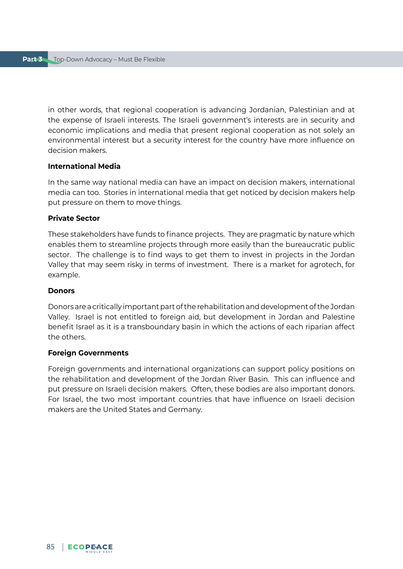in other words, that regional cooperation is advancing Jordanian, Palestinian and at the expense of Israeli interests. The Israeli government's interests are in security and economic implications and media that present regional cooperation as not solely an environmental interest but a security interest for the country have more influence on decision makers.

## **International Media**

In the same way national media can have an impact on decision makers, international media can too. Stories in international media that get noticed by decision makers help put pressure on them to move things.

## **Private Sector**

These stakeholders have funds to finance projects. They are pragmatic by nature which enables them to streamline projects through more easily than the bureaucratic public sector. The challenge is to find ways to get them to invest in projects in the Jordan Valley that may seem risky in terms of investment. There is a market for agrotech, for example.

#### **Donors**

Donors are a critically important part of the rehabilitation and development of the Jordan Valley. Israel is not entitled to foreign aid, but development in Jordan and Palestine benefit Israel as it is a transboundary basin in which the actions of each riparian affect the others.

#### **Foreign Governments**

Foreign governments and international organizations can support policy positions on the rehabilitation and development of the Jordan River Basin. This can influence and put pressure on Israeli decision makers. Often, these bodies are also important donors. For Israel, the two most important countries that have influence on Israeli decision makers are the United States and Germany.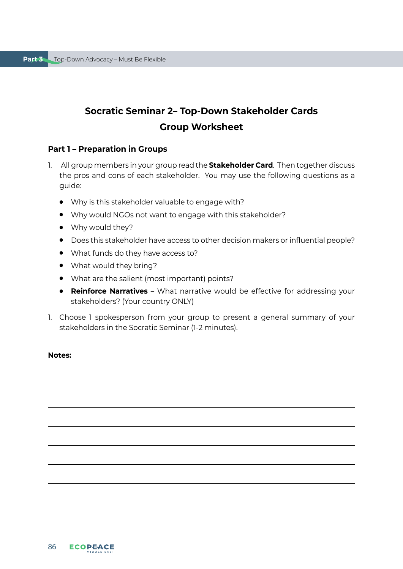# **Socratic Seminar 2– Top-Down Stakeholder Cards Group Worksheet**

### **Part 1 – Preparation in Groups**

- 1. All group members in your group read the **Stakeholder Card**. Then together discuss the pros and cons of each stakeholder. You may use the following questions as a guide:
	- Why is this stakeholder valuable to engage with?
	- Why would NGOs not want to engage with this stakeholder?
	- Why would they?
	- Does this stakeholder have access to other decision makers or influential people?
	- What funds do they have access to?
	- What would they bring?
	- What are the salient (most important) points?
	- **Reinforce Narratives** What narrative would be effective for addressing your stakeholders? (Your country ONLY)
- 1. Choose 1 spokesperson from your group to present a general summary of your stakeholders in the Socratic Seminar (1-2 minutes).

#### **Notes:**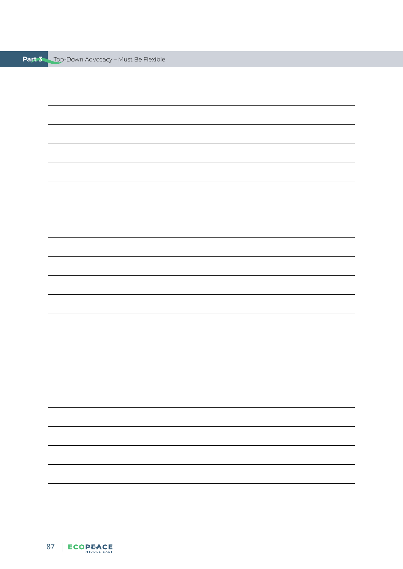| r |   |  |  |
|---|---|--|--|
|   | ۰ |  |  |
|   |   |  |  |
|   |   |  |  |

| $\overline{\phantom{0}}$ |
|--------------------------|
|                          |
|                          |
| $\overline{\phantom{0}}$ |
|                          |
|                          |
|                          |
|                          |
|                          |
| -                        |
|                          |
|                          |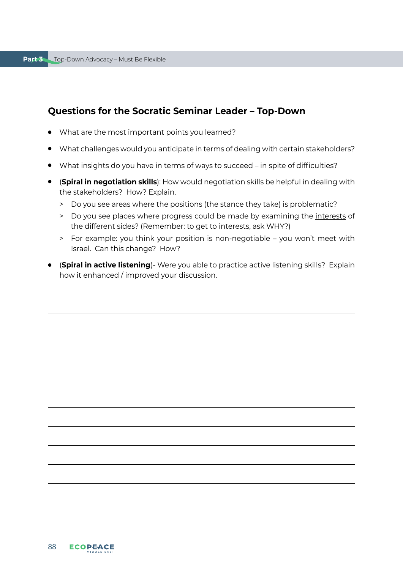# **Questions for the Socratic Seminar Leader – Top-Down**

- What are the most important points you learned?
- What challenges would you anticipate in terms of dealing with certain stakeholders?
- What insights do you have in terms of ways to succeed in spite of difficulties?
- (**Spiral in negotiation skills**): How would negotiation skills be helpful in dealing with the stakeholders? How? Explain.
	- > Do you see areas where the positions (the stance they take) is problematic?
	- > Do you see places where progress could be made by examining the interests of the different sides? (Remember: to get to interests, ask WHY?)
	- > For example: you think your position is non-negotiable you won't meet with Israel. Can this change? How?
- (**Spiral in active listening**)- Were you able to practice active listening skills? Explain how it enhanced / improved your discussion.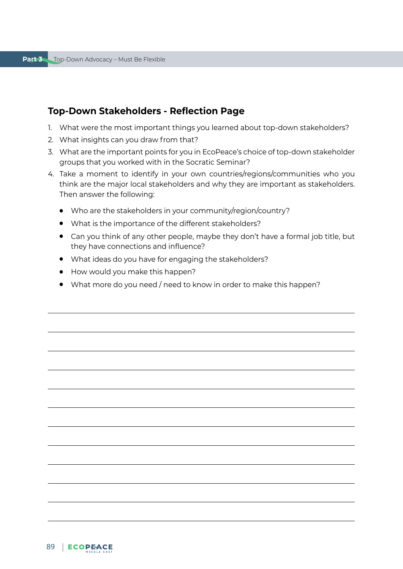# **Top-Down Stakeholders - Reflection Page**

- 1. What were the most important things you learned about top-down stakeholders?
- 2. What insights can you draw from that?
- 3. What are the important points for you in EcoPeace's choice of top-down stakeholder groups that you worked with in the Socratic Seminar?
- 4. Take a moment to identify in your own countries/regions/communities who you think are the major local stakeholders and why they are important as stakeholders. Then answer the following:
	- Who are the stakeholders in your community/region/country?
	- What is the importance of the different stakeholders?
	- Can you think of any other people, maybe they don't have a formal job title, but they have connections and influence?
	- What ideas do you have for engaging the stakeholders?
	- How would you make this happen?
	- What more do you need / need to know in order to make this happen?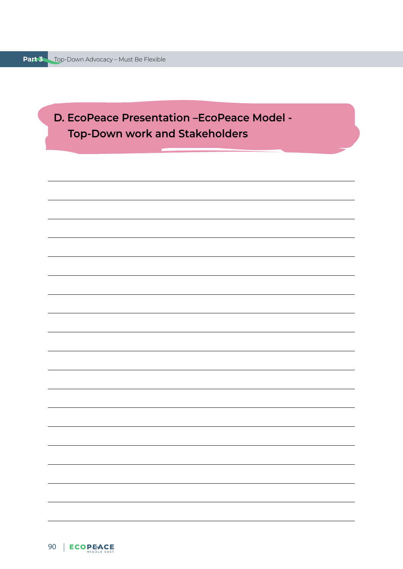**D. EcoPeace Presentation –EcoPeace Model - Top-Down work and Stakeholders**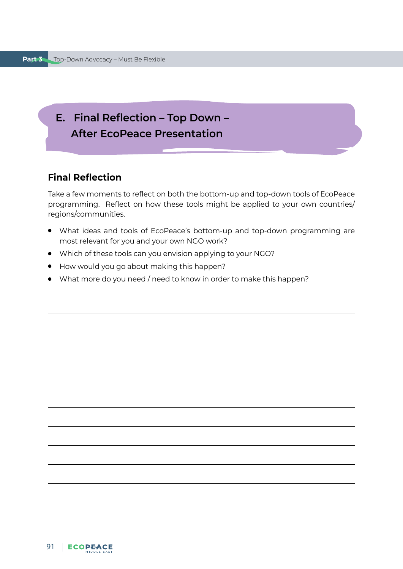# **E. Final Reflection – Top Down – After EcoPeace Presentation**

# **Final Reflection**

Take a few moments to reflect on both the bottom-up and top-down tools of EcoPeace programming. Reflect on how these tools might be applied to your own countries/ regions/communities.

- What ideas and tools of EcoPeace's bottom-up and top-down programming are most relevant for you and your own NGO work?
- Which of these tools can you envision applying to your NGO?
- How would you go about making this happen?
- What more do you need / need to know in order to make this happen?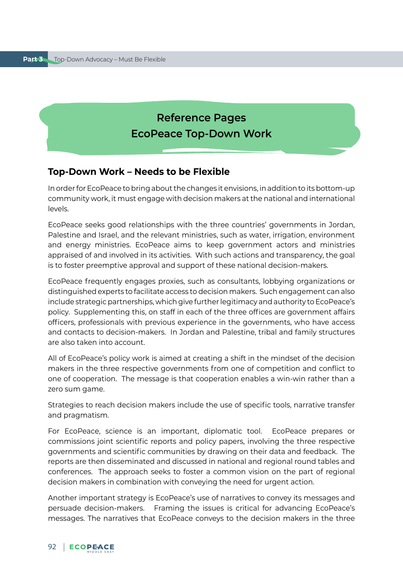# **Reference Pages EcoPeace Top-Down Work**

# **Top-Down Work – Needs to be Flexible**

In order for EcoPeace to bring about the changes it envisions, in addition to its bottom-up community work, it must engage with decision makers at the national and international levels.

EcoPeace seeks good relationships with the three countries' governments in Jordan, Palestine and Israel, and the relevant ministries, such as water, irrigation, environment and energy ministries. EcoPeace aims to keep government actors and ministries appraised of and involved in its activities. With such actions and transparency, the goal is to foster preemptive approval and support of these national decision-makers.

EcoPeace frequently engages proxies, such as consultants, lobbying organizations or distinguished experts to facilitate access to decision makers. Such engagement can also include strategic partnerships, which give further legitimacy and authority to EcoPeace's policy. Supplementing this, on staff in each of the three offices are government affairs officers, professionals with previous experience in the governments, who have access and contacts to decision-makers. In Jordan and Palestine, tribal and family structures are also taken into account.

All of EcoPeace's policy work is aimed at creating a shift in the mindset of the decision makers in the three respective governments from one of competition and conflict to one of cooperation. The message is that cooperation enables a win-win rather than a zero sum game.

Strategies to reach decision makers include the use of specific tools, narrative transfer and pragmatism.

For EcoPeace, science is an important, diplomatic tool. EcoPeace prepares or commissions joint scientific reports and policy papers, involving the three respective governments and scientific communities by drawing on their data and feedback. The reports are then disseminated and discussed in national and regional round tables and conferences. The approach seeks to foster a common vision on the part of regional decision makers in combination with conveying the need for urgent action.

Another important strategy is EcoPeace's use of narratives to convey its messages and persuade decision-makers. Framing the issues is critical for advancing EcoPeace's messages. The narratives that EcoPeace conveys to the decision makers in the three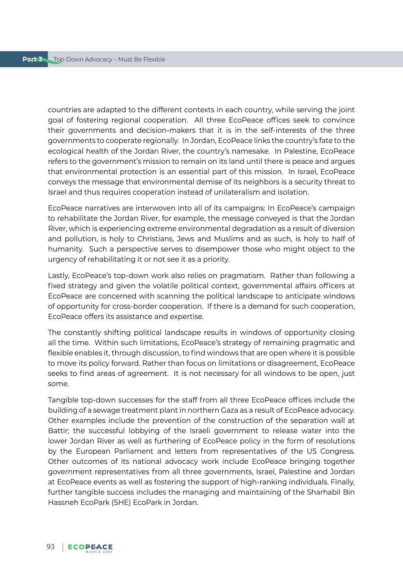countries are adapted to the different contexts in each country, while serving the joint goal of fostering regional cooperation. All three EcoPeace offices seek to convince their governments and decision-makers that it is in the self-interests of the three governments to cooperate regionally. In Jordan, EcoPeace links the country's fate to the ecological health of the Jordan River, the country's namesake. In Palestine, EcoPeace refers to the government's mission to remain on its land until there is peace and argues that environmental protection is an essential part of this mission. In Israel, EcoPeace conveys the message that environmental demise of its neighbors is a security threat to Israel and thus requires cooperation instead of unilateralism and isolation.

EcoPeace narratives are interwoven into all of its campaigns: In EcoPeace's campaign to rehabilitate the Jordan River, for example, the message conveyed is that the Jordan River, which is experiencing extreme environmental degradation as a result of diversion and pollution, is holy to Christians, Jews and Muslims and as such, is holy to half of humanity. Such a perspective serves to disempower those who might object to the urgency of rehabilitating it or not see it as a priority.

Lastly, EcoPeace's top-down work also relies on pragmatism. Rather than following a fixed strategy and given the volatile political context, governmental affairs officers at EcoPeace are concerned with scanning the political landscape to anticipate windows of opportunity for cross-border cooperation. If there is a demand for such cooperation, EcoPeace offers its assistance and expertise.

The constantly shifting political landscape results in windows of opportunity closing all the time. Within such limitations, EcoPeace's strategy of remaining pragmatic and flexible enables it, through discussion, to find windows that are open where it is possible to move its policy forward. Rather than focus on limitations or disagreement, EcoPeace seeks to find areas of agreement. It is not necessary for all windows to be open, just some.

Tangible top-down successes for the staff from all three EcoPeace offices include the building of a sewage treatment plant in northern Gaza as a result of EcoPeace advocacy. Other examples include the prevention of the construction of the separation wall at Battir; the successful lobbying of the Israeli government to release water into the lower Jordan River as well as furthering of EcoPeace policy in the form of resolutions by the European Parliament and letters from representatives of the US Congress. Other outcomes of its national advocacy work include EcoPeace bringing together government representatives from all three governments, Israel, Palestine and Jordan at EcoPeace events as well as fostering the support of high-ranking individuals. Finally, further tangible success includes the managing and maintaining of the Sharhabil Bin Hassneh EcoPark (SHE) EcoPark in Jordan.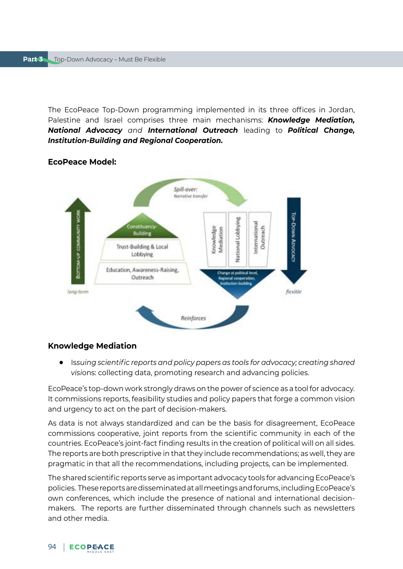The EcoPeace Top-Down programming implemented in its three offices in Jordan, Palestine and Israel comprises three main mechanisms: *Knowledge Mediation, National Advocacy and International Outreach* leading to *Political Change, Institution-Building and Regional Cooperation.* 



## **EcoPeace Model:**

# **Knowledge Mediation**

● Is*suing scientific reports and policy papers as tools for advocacy; creating shared visi*ons: collecting data, promoting research and advancing policies.

EcoPeace's top-down work strongly draws on the power of science as a tool for advocacy. It commissions reports, feasibility studies and policy papers that forge a common vision and urgency to act on the part of decision-makers.

As data is not always standardized and can be the basis for disagreement, EcoPeace commissions cooperative, joint reports from the scientific community in each of the countries. EcoPeace's joint-fact finding results in the creation of political will on all sides. The reports are both prescriptive in that they include recommendations; as well, they are pragmatic in that all the recommendations, including projects, can be implemented.

The shared scientific reports serve as important advocacy tools for advancing EcoPeace's policies. These reports are disseminated at all meetings and forums, including EcoPeace's own conferences, which include the presence of national and international decisionmakers. The reports are further disseminated through channels such as newsletters and other media.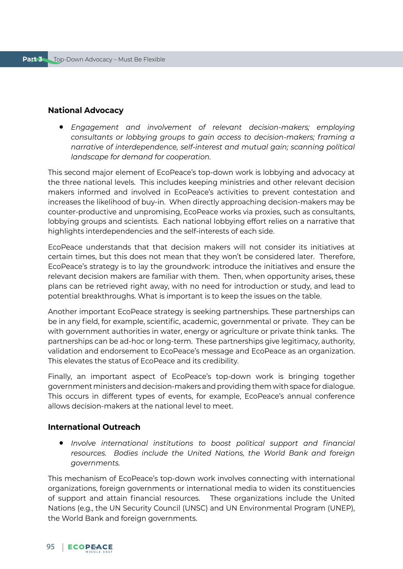### **National Advocacy**

● *Engagement and involvement of relevant decision-makers; employing consultants or lobbying groups to gain access to decision-makers; framing a narrative of interdependence, self-interest and mutual gain; scanning political landscape for demand for cooperation.*

This second major element of EcoPeace's top-down work is lobbying and advocacy at the three national levels. This includes keeping ministries and other relevant decision makers informed and involved in EcoPeace's activities to prevent contestation and increases the likelihood of buy-in. When directly approaching decision-makers may be counter-productive and unpromising, EcoPeace works via proxies, such as consultants, lobbying groups and scientists. Each national lobbying effort relies on a narrative that highlights interdependencies and the self-interests of each side.

EcoPeace understands that that decision makers will not consider its initiatives at certain times, but this does not mean that they won't be considered later. Therefore, EcoPeace's strategy is to lay the groundwork: introduce the initiatives and ensure the relevant decision makers are familiar with them. Then, when opportunity arises, these plans can be retrieved right away, with no need for introduction or study, and lead to potential breakthroughs. What is important is to keep the issues on the table.

Another important EcoPeace strategy is seeking partnerships. These partnerships can be in any field, for example, scientific, academic, governmental or private. They can be with government authorities in water, energy or agriculture or private think tanks. The partnerships can be ad-hoc or long-term. These partnerships give legitimacy, authority, validation and endorsement to EcoPeace's message and EcoPeace as an organization. This elevates the status of EcoPeace and its credibility.

Finally, an important aspect of EcoPeace's top-down work is bringing together government ministers and decision-makers and providing them with space for dialogue. This occurs in different types of events, for example, EcoPeace's annual conference allows decision-makers at the national level to meet.

#### **International Outreach**

● *Involve international institutions to boost political support and financial resources. Bodies include the United Nations, the World Bank and foreign governments.*

This mechanism of EcoPeace's top-down work involves connecting with international organizations, foreign governments or international media to widen its constituencies of support and attain financial resources. These organizations include the United Nations (e.g., the UN Security Council (UNSC) and UN Environmental Program (UNEP), the World Bank and foreign governments.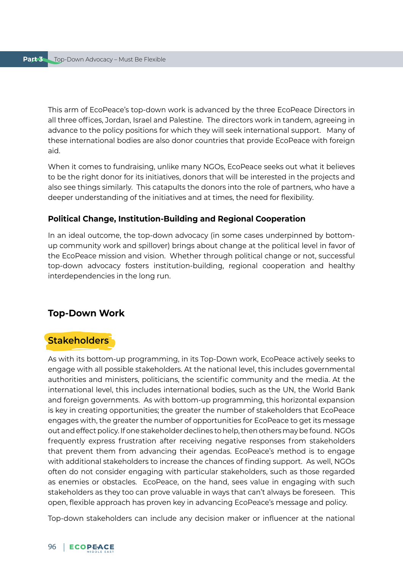This arm of EcoPeace's top-down work is advanced by the three EcoPeace Directors in all three offices, Jordan, Israel and Palestine. The directors work in tandem, agreeing in advance to the policy positions for which they will seek international support. Many of these international bodies are also donor countries that provide EcoPeace with foreign aid.

When it comes to fundraising, unlike many NGOs, EcoPeace seeks out what it believes to be the right donor for its initiatives, donors that will be interested in the projects and also see things similarly. This catapults the donors into the role of partners, who have a deeper understanding of the initiatives and at times, the need for flexibility.

## **Political Change, Institution-Building and Regional Cooperation**

In an ideal outcome, the top-down advocacy (in some cases underpinned by bottomup community work and spillover) brings about change at the political level in favor of the EcoPeace mission and vision. Whether through political change or not, successful top-down advocacy fosters institution-building, regional cooperation and healthy interdependencies in the long run.

# **Top-Down Work**

# **Stakeholders**

As with its bottom-up programming, in its Top-Down work, EcoPeace actively seeks to engage with all possible stakeholders. At the national level, this includes governmental authorities and ministers, politicians, the scientific community and the media. At the international level, this includes international bodies, such as the UN, the World Bank and foreign governments. As with bottom-up programming, this horizontal expansion is key in creating opportunities; the greater the number of stakeholders that EcoPeace engages with, the greater the number of opportunities for EcoPeace to get its message out and effect policy. If one stakeholder declines to help, then others may be found. NGOs frequently express frustration after receiving negative responses from stakeholders that prevent them from advancing their agendas. EcoPeace's method is to engage with additional stakeholders to increase the chances of finding support. As well, NGOs often do not consider engaging with particular stakeholders, such as those regarded as enemies or obstacles. EcoPeace, on the hand, sees value in engaging with such stakeholders as they too can prove valuable in ways that can't always be foreseen. This open, flexible approach has proven key in advancing EcoPeace's message and policy.

Top-down stakeholders can include any decision maker or influencer at the national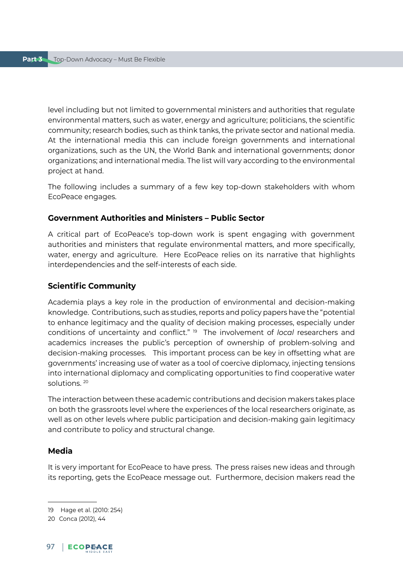level including but not limited to governmental ministers and authorities that regulate environmental matters, such as water, energy and agriculture; politicians, the scientific community; research bodies, such as think tanks, the private sector and national media. At the international media this can include foreign governments and international organizations, such as the UN, the World Bank and international governments; donor organizations; and international media. The list will vary according to the environmental project at hand.

The following includes a summary of a few key top-down stakeholders with whom EcoPeace engages.

### **Government Authorities and Ministers – Public Sector**

A critical part of EcoPeace's top-down work is spent engaging with government authorities and ministers that regulate environmental matters, and more specifically, water, energy and agriculture. Here EcoPeace relies on its narrative that highlights interdependencies and the self-interests of each side.

#### **Scientific Community**

Academia plays a key role in the production of environmental and decision-making knowledge. Contributions, such as studies, reports and policy papers have the "potential to enhance legitimacy and the quality of decision making processes, especially under conditions of uncertainty and conflict." 19 The involvement of *local* researchers and academics increases the public's perception of ownership of problem-solving and decision-making processes. This important process can be key in offsetting what are governments' increasing use of water as a tool of coercive diplomacy, injecting tensions into international diplomacy and complicating opportunities to find cooperative water solutions. 20

The interaction between these academic contributions and decision makers takes place on both the grassroots level where the experiences of the local researchers originate, as well as on other levels where public participation and decision-making gain legitimacy and contribute to policy and structural change.

#### **Media**

It is very important for EcoPeace to have press. The press raises new ideas and through its reporting, gets the EcoPeace message out. Furthermore, decision makers read the

<sup>19</sup> Hage et al. (2010: 254)

<sup>20</sup> Conca (2012), 44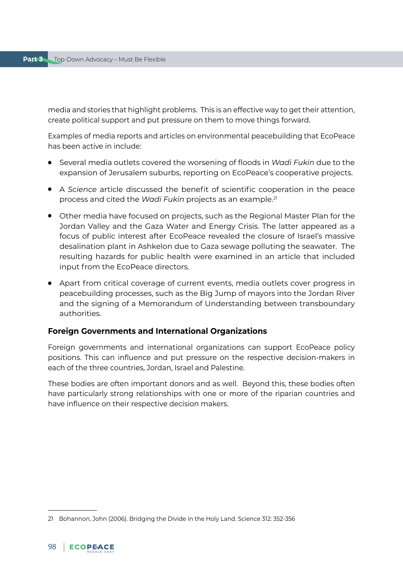media and stories that highlight problems. This is an effective way to get their attention, create political support and put pressure on them to move things forward.

Examples of media reports and articles on environmental peacebuilding that EcoPeace has been active in include:

- Several media outlets covered the worsening of floods in *Wadi Fukin* due to the expansion of Jerusalem suburbs, reporting on EcoPeace's cooperative projects.
- A *Science* article discussed the benefit of scientific cooperation in the peace process and cited the *Wadi Fukin* projects as an example.21
- Other media have focused on projects, such as the Regional Master Plan for the Jordan Valley and the Gaza Water and Energy Crisis. The latter appeared as a focus of public interest after EcoPeace revealed the closure of Israel's massive desalination plant in Ashkelon due to Gaza sewage polluting the seawater. The resulting hazards for public health were examined in an article that included input from the EcoPeace directors.
- Apart from critical coverage of current events, media outlets cover progress in peacebuilding processes, such as the Big Jump of mayors into the Jordan River and the signing of a Memorandum of Understanding between transboundary authorities.

### **Foreign Governments and International Organizations**

Foreign governments and international organizations can support EcoPeace policy positions. This can influence and put pressure on the respective decision-makers in each of the three countries, Jordan, Israel and Palestine.

These bodies are often important donors and as well. Beyond this, these bodies often have particularly strong relationships with one or more of the riparian countries and have influence on their respective decision makers.

<sup>21</sup> Bohannon, John (2006). Bridging the Divide in the Holy Land. Science 312: 352-356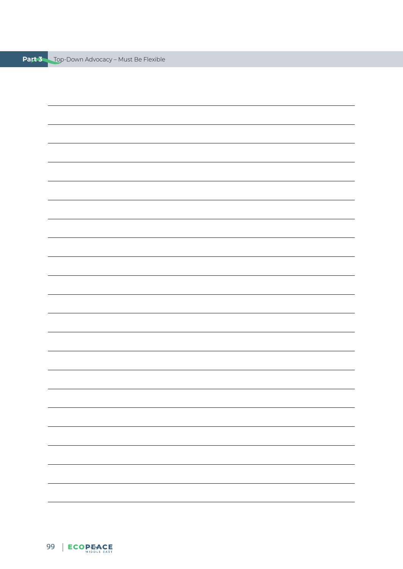| r |   |  |  |
|---|---|--|--|
|   | ۰ |  |  |
|   |   |  |  |
|   |   |  |  |

| - |
|---|
|   |
|   |
|   |
|   |
|   |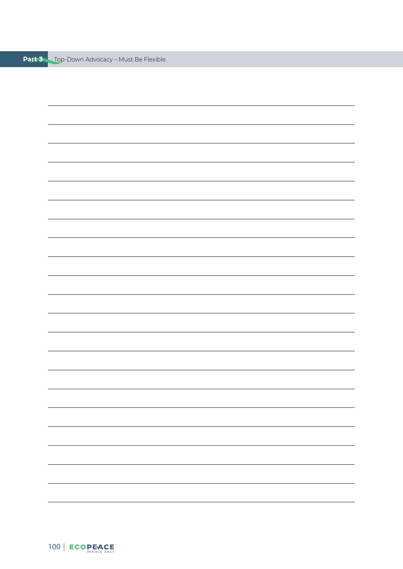| r |  |  |
|---|--|--|
|   |  |  |
|   |  |  |

| $\overline{\phantom{0}}$ |
|--------------------------|
|                          |
| -                        |
|                          |
|                          |
|                          |
|                          |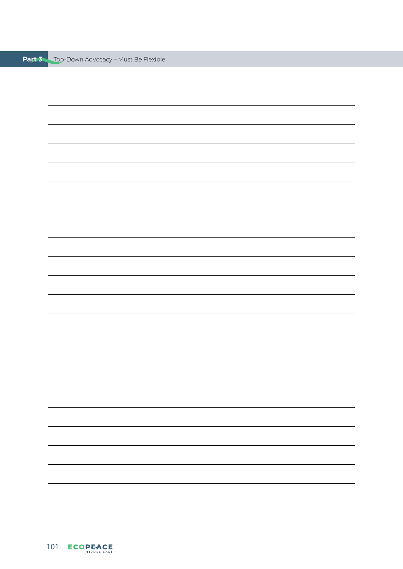| ٠ |    |  |  |
|---|----|--|--|
|   | ÆΤ |  |  |
|   |    |  |  |

| $\overline{\phantom{0}}$ |
|--------------------------|
|                          |
|                          |
|                          |
|                          |
| -                        |
|                          |
|                          |
|                          |
|                          |
|                          |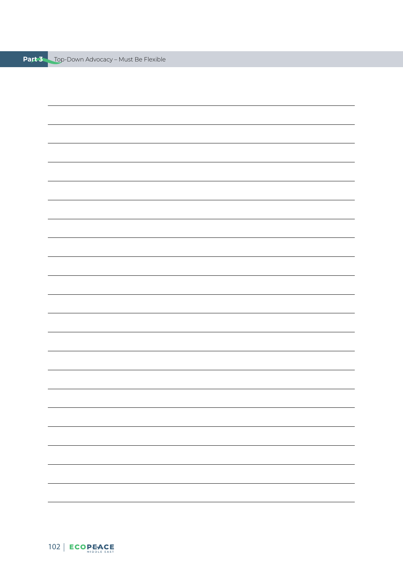| r |  |  |
|---|--|--|
|   |  |  |
|   |  |  |

| $\overline{\phantom{0}}$ |
|--------------------------|
|                          |
| $\overline{\phantom{0}}$ |
|                          |
|                          |
|                          |
|                          |
|                          |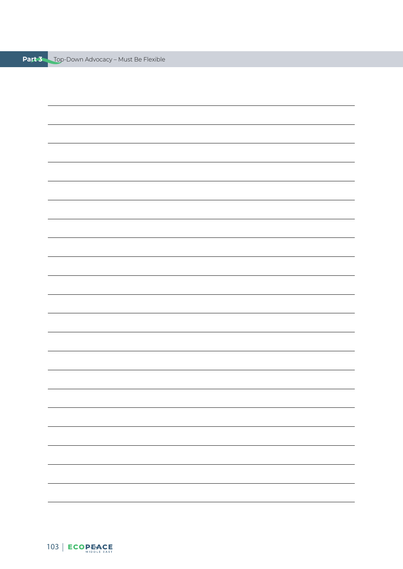| ٠ |    |  |  |
|---|----|--|--|
|   | ÆΤ |  |  |
|   |    |  |  |

| - |
|---|
|   |
|   |
|   |
|   |